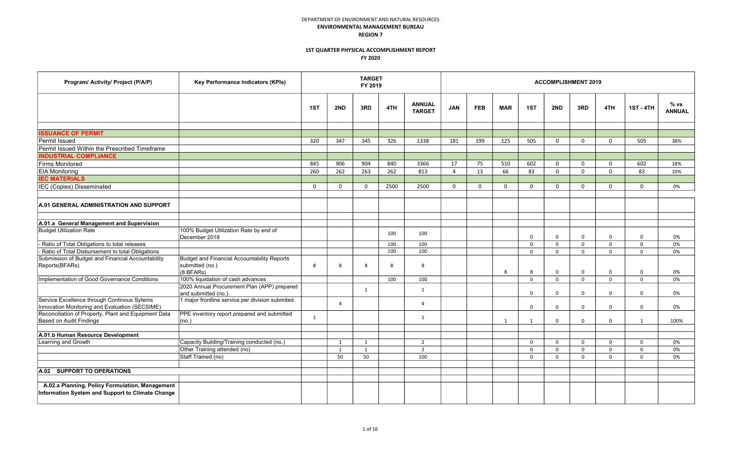| Program/ Activity/ Project (P/A/P)                                                                  | Key Performance Indicators (KPIs)                                                  |              |                | <b>TARGET</b><br>FY 2019 |      |                                |                |            |            |             |             | <b>ACCOMPLISHMENT 2019</b> |             |                  |                       |
|-----------------------------------------------------------------------------------------------------|------------------------------------------------------------------------------------|--------------|----------------|--------------------------|------|--------------------------------|----------------|------------|------------|-------------|-------------|----------------------------|-------------|------------------|-----------------------|
|                                                                                                     |                                                                                    | 1ST          | 2ND            | 3RD                      | 4TH  | <b>ANNUAL</b><br><b>TARGET</b> | <b>JAN</b>     | <b>FEB</b> | <b>MAR</b> | 1ST         | 2ND         | 3RD                        | 4TH         | <b>1ST - 4TH</b> | % vs<br><b>ANNUAL</b> |
|                                                                                                     |                                                                                    |              |                |                          |      |                                |                |            |            |             |             |                            |             |                  |                       |
| <b>ISSUANCE OF PERMIT</b>                                                                           |                                                                                    |              |                |                          |      |                                |                |            |            |             |             |                            |             |                  |                       |
| Permit Issued                                                                                       |                                                                                    | 320          | 347            | 345                      | 326  | 1338                           | 181            | 199        | 125        | 505         | $\mathbf 0$ | $\mathbf 0$                | $\Omega$    | 505              | 38%                   |
| Permit Issued Within the Prescribed Timeframe                                                       |                                                                                    |              |                |                          |      |                                |                |            |            |             |             |                            |             |                  |                       |
| <b>INDUSTRIAL COMPLIANCE</b>                                                                        |                                                                                    |              |                |                          |      |                                |                |            |            |             |             |                            |             |                  |                       |
| Firms Monitored                                                                                     |                                                                                    | 845          | 906            | 904                      | 840  | 3366                           | 17             | 75         | 510        | 602         | $\mathbf 0$ | $\mathbf 0$                | $\mathbf 0$ | 602              | 18%                   |
| <b>EIA Monitoring</b>                                                                               |                                                                                    | 260          | 262            | 263                      | 262  | 813                            | $\overline{4}$ | 13         | 66         | 83          | $\mathbf 0$ | $\mathbf 0$                | $\mathbf 0$ | 83               | 10%                   |
| <b>IEC MATERIALS</b>                                                                                |                                                                                    |              |                |                          |      |                                |                |            |            |             |             |                            |             |                  |                       |
| IEC (Copies) Disseminated                                                                           |                                                                                    | $\mathbf{0}$ | $\Omega$       | $\Omega$                 | 2500 | 2500                           | $\Omega$       | $\Omega$   | $\Omega$   | $\mathbf 0$ | $\Omega$    | 0                          | $\Omega$    | $\Omega$         | 0%                    |
|                                                                                                     |                                                                                    |              |                |                          |      |                                |                |            |            |             |             |                            |             |                  |                       |
| A.01 GENERAL ADMINISTRATION AND SUPPORT                                                             |                                                                                    |              |                |                          |      |                                |                |            |            |             |             |                            |             |                  |                       |
|                                                                                                     |                                                                                    |              |                |                          |      |                                |                |            |            |             |             |                            |             |                  |                       |
| A.01.a General Management and Supervision                                                           |                                                                                    |              |                |                          |      |                                |                |            |            |             |             |                            |             |                  |                       |
| <b>Budget Utilization Rate</b>                                                                      | 100% Budget Utilization Rate by end of<br>December 2019                            |              |                |                          | 100  | 100                            |                |            |            | $\mathbf 0$ | $\mathbf 0$ | $\mathbf 0$                | 0           | $\mathbf 0$      | 0%                    |
| - Ratio of Total Obligations to total releases                                                      |                                                                                    |              |                |                          | 100  | 100                            |                |            |            | $\mathbf 0$ | $\mathbf 0$ | $\mathbf 0$                | $\Omega$    | $\mathbf 0$      | 0%                    |
| - Ratio of Total Disbursement to total Obligations                                                  |                                                                                    |              |                |                          | 100  | 100                            |                |            |            | $\mathbf 0$ | $\mathbf 0$ | $\mathbf 0$                | $\Omega$    | $\Omega$         | 0%                    |
| Submission of Budget and Financial Accountability<br>Reports(BFARs)                                 | <b>Budget and Financial Accountability Reports</b><br>submitted (no.)<br>(8 BFARs) | 8            | 8              | 8                        | 8    | 8                              |                |            | 8          | 8           | 0           | 0                          | 0           | $\mathbf 0$      | 0%                    |
| Implementation of Good Governance Conditions                                                        | 100% liquidation of cash advances                                                  |              |                |                          | 100  | 100                            |                |            |            | $\mathbf 0$ | $\mathbf 0$ | $\mathbf 0$                | $\Omega$    | $\mathbf 0$      | 0%                    |
|                                                                                                     | 2020 Annual Procurement Plan (APP) prepared<br>and submitted (no.)                 |              |                | 1                        |      | 1                              |                |            |            | $\Omega$    | $\Omega$    | $\Omega$                   | $\Omega$    | $\Omega$         | 0%                    |
| Service Excellence through Continous Sytems<br>Innovation Monitoring and Evaluation (SECSIME)       | 1 major frontline service per division submited                                    |              | $\overline{a}$ |                          |      | $\Delta$                       |                |            |            | $\Omega$    | $\Omega$    | $\Omega$                   | $\Omega$    | $\Omega$         | 0%                    |
| Reconciliation of Property, Plant and Equipment Data<br>Based on Audit Findings                     | PPE inventory report prepared and submitted<br>(no.)                               | 1            |                |                          |      | 1                              |                |            | 1          | 1           | $\mathbf 0$ | $\mathbf{0}$               | $\mathbf 0$ | 1                | 100%                  |
|                                                                                                     |                                                                                    |              |                |                          |      |                                |                |            |            |             |             |                            |             |                  |                       |
| A.01.b Human Resource Development                                                                   |                                                                                    |              |                |                          |      |                                |                |            |            |             |             |                            |             |                  |                       |
| Learning and Growth                                                                                 | Capacity Building/Training conducted (no.)                                         |              | $\mathbf{1}$   | 1                        |      | $\overline{2}$                 |                |            |            | $\mathbf 0$ | $\Omega$    | $\mathbf 0$                | $\Omega$    | $\mathbf 0$      | 0%                    |
|                                                                                                     | Other Training attended (no)                                                       |              | 1              | 1                        |      | $\overline{2}$                 |                |            |            | $\mathbf 0$ | $\mathbf 0$ | 0                          | $\mathbf 0$ | $\mathbf 0$      | 0%                    |
|                                                                                                     | Staff Trained (no)                                                                 |              | 50             | 50                       |      | 100                            |                |            |            | $\mathbf 0$ | $\mathbf 0$ | $\mathbf 0$                | $\mathbf 0$ | $\mathbf 0$      | 0%                    |
|                                                                                                     |                                                                                    |              |                |                          |      |                                |                |            |            |             |             |                            |             |                  |                       |
| A.02 SUPPORT TO OPERATIONS                                                                          |                                                                                    |              |                |                          |      |                                |                |            |            |             |             |                            |             |                  |                       |
|                                                                                                     |                                                                                    |              |                |                          |      |                                |                |            |            |             |             |                            |             |                  |                       |
| A.02.a Planning, Policy Formulation, Management<br>Information System and Support to Climate Change |                                                                                    |              |                |                          |      |                                |                |            |            |             |             |                            |             |                  |                       |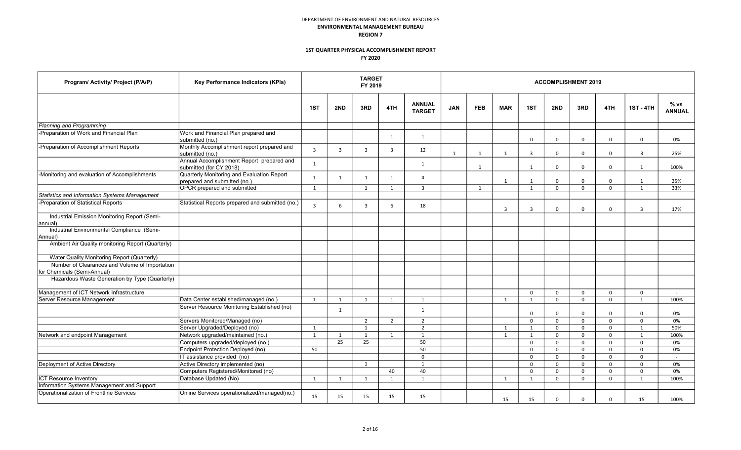| Program/ Activity/ Project (P/A/P)                                            | Key Performance Indicators (KPIs)                                          |                |                | <b>TARGET</b><br>FY 2019 |                |                                |              |              |                |                | <b>ACCOMPLISHMENT 2019</b> |              |             |                  |                          |
|-------------------------------------------------------------------------------|----------------------------------------------------------------------------|----------------|----------------|--------------------------|----------------|--------------------------------|--------------|--------------|----------------|----------------|----------------------------|--------------|-------------|------------------|--------------------------|
|                                                                               |                                                                            | 1ST            | 2ND            | 3RD                      | 4TH            | <b>ANNUAL</b><br><b>TARGET</b> | <b>JAN</b>   | <b>FEB</b>   | <b>MAR</b>     | 1ST            | 2ND                        | 3RD          | 4TH         | <b>1ST - 4TH</b> | % vs<br><b>ANNUAL</b>    |
| Planning and Programming                                                      |                                                                            |                |                |                          |                |                                |              |              |                |                |                            |              |             |                  |                          |
| -Preparation of Work and Financial Plan                                       | Work and Financial Plan prepared and<br>submitted (no.)                    |                |                |                          | 1              | 1                              |              |              |                | $\mathbf 0$    | $\mathbf 0$                | 0            | $\mathbf 0$ | $\mathbf 0$      | 0%                       |
| -Preparation of Accomplishment Reports                                        | Monthly Accomplishment report prepared and<br>submitted (no.)              | $\overline{3}$ | $\overline{3}$ | 3                        | $\overline{3}$ | 12                             | $\mathbf{1}$ | $\mathbf{1}$ | 1              | $\overline{3}$ | $\mathbf 0$                | 0            | $\mathbf 0$ | $\overline{3}$   | 25%                      |
|                                                                               | Annual Accomplishment Report prepared and<br>submitted (for CY 2018)       | 1              |                |                          |                | 1                              |              | 1            |                | 1              | $\mathbf 0$                | $\mathbf 0$  | $\mathbf 0$ | 1                | 100%                     |
| -Monitoring and evaluation of Accomplishments                                 | Quarterly Monitoring and Evaluation Report<br>prepared and submitted (no.) | 1              | 1              | 1                        | 1              | $\overline{a}$                 |              |              | 1              | 1              | $\mathbf 0$                | 0            | $\mathbf 0$ | 1                | 25%                      |
|                                                                               | OPCR prepared and submitted                                                | 1              |                | 1                        | $\mathbf{1}$   | $\overline{\mathbf{3}}$        |              | $\mathbf{1}$ |                | 1              | $\mathbf 0$                | $\mathbf 0$  | $\mathbf 0$ | 1                | 33%                      |
| Statistics and Information Systems Management                                 |                                                                            |                |                |                          |                |                                |              |              |                |                |                            |              |             |                  |                          |
| -Preparation of Statistical Reports                                           | Statistical Reports prepared and submitted (no.)                           | $\overline{3}$ | 6              | 3                        | 6              | 18                             |              |              | $\overline{3}$ | $\overline{3}$ | $\Omega$                   | $\mathbf 0$  | $\mathbf 0$ | $\overline{3}$   | 17%                      |
| Industrial Emission Monitoring Report (Semi-<br>annual)                       |                                                                            |                |                |                          |                |                                |              |              |                |                |                            |              |             |                  |                          |
| Industrial Environmental Compliance (Semi-<br>Annual)                         |                                                                            |                |                |                          |                |                                |              |              |                |                |                            |              |             |                  |                          |
| Ambient Air Quality monitoring Report (Quarterly)                             |                                                                            |                |                |                          |                |                                |              |              |                |                |                            |              |             |                  |                          |
| Water Quality Monitoring Report (Quarterly)                                   |                                                                            |                |                |                          |                |                                |              |              |                |                |                            |              |             |                  |                          |
| Number of Clearances and Volume of Importation<br>for Chemicals (Semi-Annual) |                                                                            |                |                |                          |                |                                |              |              |                |                |                            |              |             |                  |                          |
| Hazardous Waste Generation by Type (Quarterly)                                |                                                                            |                |                |                          |                |                                |              |              |                |                |                            |              |             |                  |                          |
| Management of ICT Network Infrastructure                                      |                                                                            |                |                |                          |                |                                |              |              |                | $\mathbf 0$    | $\mathbf 0$                | 0            | 0           | $\mathbf 0$      | $\overline{\phantom{a}}$ |
| Server Resource Management                                                    | Data Center established/managed (no.)                                      | 1              | 1              | 1                        | 1              | 1                              |              |              | 1              | 1              | $\mathbf 0$                | $\mathbf{0}$ | $\mathbf 0$ | 1                | 100%                     |
|                                                                               | Server Resource Monitoring Established (no)                                |                | 1              |                          |                | 1                              |              |              |                | $\mathbf 0$    | $\mathbf 0$                | 0            | $\mathbf 0$ | $\mathbf 0$      | 0%                       |
|                                                                               | Servers Monitored/Managed (no)                                             |                |                | $\overline{2}$           | 2              | 2                              |              |              |                | $\mathbf 0$    | $\mathbf 0$                | $\mathbf 0$  | $\mathbf 0$ | $\mathbf 0$      | 0%                       |
|                                                                               | Server Upgraded/Deployed (no)                                              | 1              |                | 1                        |                | $\overline{2}$                 |              |              | 1              | 1              | $\mathbf 0$                | $\mathbf 0$  | $\mathbf 0$ | $\overline{1}$   | 50%                      |
| Network and endpoint Management                                               | Network upgraded/maintained (no.)                                          | 1              | 1              | 1                        | 1              | 1                              |              |              | 1              | 1              | $\mathbf 0$                | $\mathbf{0}$ | $\Omega$    | 1                | 100%                     |
|                                                                               | Computers upgraded/deployed (no.)                                          |                | 25             | 25                       |                | 50                             |              |              |                | $\mathbf 0$    | $\mathbf 0$                | 0            | $\mathbf 0$ | $\mathbf 0$      | 0%                       |
|                                                                               | <b>Endpoint Protection Deployed (no)</b>                                   | 50             |                |                          |                | 50                             |              |              |                | $\mathbf 0$    | $\mathbf 0$                | 0            | $\mathbf 0$ | $\mathbf 0$      | 0%                       |
|                                                                               | IT assistance provided (no)                                                |                |                |                          |                | $\mathbf 0$                    |              |              |                | $\mathbf 0$    | $\mathbf 0$                | $\mathbf 0$  | $\mathbf 0$ | $\mathbf 0$      | $\sim$                   |
| Deployment of Active Directory                                                | Active Directory implemented (no)                                          |                |                | 1                        |                | 1                              |              |              |                | $\mathbf 0$    | $\mathbf 0$                | 0            | $\mathbf 0$ | $\mathbf 0$      | 0%                       |
|                                                                               | Computers Registered/Monitored (no)                                        |                |                |                          | 40             | 40                             |              |              |                | $\mathbf 0$    | $\mathbf 0$                | 0            | $\mathbf 0$ | $\mathbf 0$      | 0%                       |
| <b>ICT Resource Inventory</b>                                                 | Database Updated (No)                                                      | 1              | 1              | 1                        | $\mathbf{1}$   | $\mathbf{1}$                   |              |              | 1              | $\mathbf{1}$   | 0                          | 0            | 0           | $\mathbf{1}$     | 100%                     |
| Information Systems Management and Support                                    |                                                                            |                |                |                          |                |                                |              |              |                |                |                            |              |             |                  |                          |
| Operationalization of Frontline Services                                      | Online Services operationalized/managed(no.)                               | 15             | 15             | 15                       | 15             | 15                             |              |              | 15             | 15             | $\Omega$                   | $\mathbf 0$  | $\mathbf 0$ | 15               | 100%                     |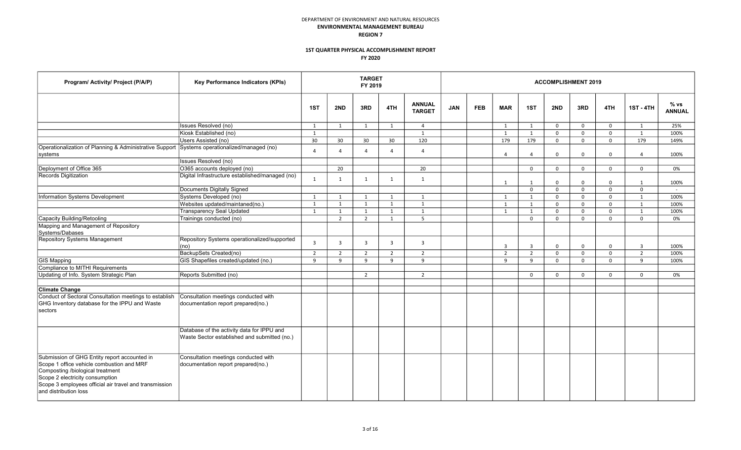| Program/ Activity/ Project (P/A/P)                                                                                                                                                                                                                  | Key Performance Indicators (KPIs)                                                          |                |                | <b>TARGET</b><br>FY 2019 |                |                                |            |            |                |                |             | <b>ACCOMPLISHMENT 2019</b> |              |                  |                       |
|-----------------------------------------------------------------------------------------------------------------------------------------------------------------------------------------------------------------------------------------------------|--------------------------------------------------------------------------------------------|----------------|----------------|--------------------------|----------------|--------------------------------|------------|------------|----------------|----------------|-------------|----------------------------|--------------|------------------|-----------------------|
|                                                                                                                                                                                                                                                     |                                                                                            | 1ST            | 2ND            | 3RD                      | 4TH            | <b>ANNUAL</b><br><b>TARGET</b> | <b>JAN</b> | <b>FEB</b> | <b>MAR</b>     | 1ST            | 2ND         | 3RD                        | 4TH          | <b>1ST - 4TH</b> | % vs<br><b>ANNUAL</b> |
|                                                                                                                                                                                                                                                     | Issues Resolved (no)                                                                       | 1              | 1              | 1                        | 1              | $\overline{4}$                 |            |            | 1              | 1              | $\mathbf 0$ | $\mathbf 0$                | $\mathbf 0$  | 1                | 25%                   |
|                                                                                                                                                                                                                                                     | Kiosk Established (no)                                                                     | 1              |                |                          |                | 1                              |            |            | 1              | $\mathbf{1}$   | $\Omega$    | $\mathbf 0$                | $\mathbf 0$  | $\mathbf{1}$     | 100%                  |
|                                                                                                                                                                                                                                                     | Users Assisted (no)                                                                        | 30             | 30             | 30                       | 30             | 120                            |            |            | 179            | 179            | $\mathbf 0$ | $\mathbf 0$                | $\mathbf 0$  | 179              | 149%                  |
| Operationalization of Planning & Administrative Support<br>systems                                                                                                                                                                                  | Systems operationalized/managed (no)                                                       | $\Delta$       | $\Delta$       | $\Delta$                 | $\Delta$       | $\overline{4}$                 |            |            | $\overline{4}$ | $\overline{4}$ | $\mathbf 0$ | $\mathbf 0$                | $\mathsf{O}$ | $\overline{4}$   | 100%                  |
|                                                                                                                                                                                                                                                     | <b>Issues Resolved (no)</b>                                                                |                |                |                          |                |                                |            |            |                |                |             |                            |              |                  |                       |
| Deployment of Office 365                                                                                                                                                                                                                            | O365 accounts deployed (no)                                                                |                | 20             |                          |                | 20                             |            |            |                | $\mathbf 0$    | $\mathbf 0$ | $\mathbf 0$                | $\mathbf 0$  | $\mathbf{0}$     | 0%                    |
| Records Digitization                                                                                                                                                                                                                                | Digital Infrastructure established/managed (no)                                            | 1              | 1              | 1                        | 1              | 1                              |            |            | 1              | $\overline{1}$ | $\Omega$    | $\Omega$                   | $\mathbf 0$  | $\overline{1}$   | 100%                  |
|                                                                                                                                                                                                                                                     | <b>Documents Digitally Signed</b>                                                          |                |                |                          |                |                                |            |            |                | $\mathbf 0$    | $\Omega$    | $\Omega$                   | $\mathbf 0$  | $\mathbf{0}$     |                       |
| Information Systems Development                                                                                                                                                                                                                     | Systems Developed (no)                                                                     | 1              | 1              | 1                        | 1              | 1                              |            |            | 1              | $\mathbf{1}$   | $\mathbf 0$ | $\Omega$                   | $\mathbf 0$  | 1                | 100%                  |
|                                                                                                                                                                                                                                                     | Websites updated/maintaned(no.)                                                            | 1              | 1              | 1                        | 1              | 1                              |            |            | 1              | 1              | $\Omega$    | $\mathbf 0$                | $\mathbf 0$  | $\mathbf{1}$     | 100%                  |
|                                                                                                                                                                                                                                                     | <b>Transparency Seal Updated</b>                                                           | 1              | 1              | 1                        | 1              | $\mathbf{1}$                   |            |            | 1              | 1              | $\mathbf 0$ | $\mathbf 0$                | $\mathsf{O}$ | 1                | 100%                  |
| Capacity Building/Retooling                                                                                                                                                                                                                         | Trainings conducted (no)                                                                   |                | $\overline{2}$ | $\overline{2}$           | 1              | 5                              |            |            |                | $\mathbf 0$    | $\Omega$    | $\Omega$                   | $\Omega$     | $\Omega$         | 0%                    |
| Mapping and Management of Repository<br>Systems/Dabases                                                                                                                                                                                             |                                                                                            |                |                |                          |                |                                |            |            |                |                |             |                            |              |                  |                       |
| <b>Repository Systems Management</b>                                                                                                                                                                                                                | Repository Systems operationalized/supported<br>(no                                        | $\overline{3}$ | 3              | $\overline{3}$           | $\overline{3}$ | $\overline{3}$                 |            |            | 3              | $\overline{3}$ | $\mathbf 0$ | $\mathbf 0$                | $\mathsf{O}$ | $\overline{3}$   | 100%                  |
|                                                                                                                                                                                                                                                     | BackupSets Created(no)                                                                     | $\overline{2}$ | $\overline{2}$ | $\overline{2}$           | 2              | $\overline{2}$                 |            |            | 2              | 2              | $\Omega$    | $\Omega$                   | $\mathbf 0$  | $\overline{2}$   | 100%                  |
| <b>GIS Mapping</b>                                                                                                                                                                                                                                  | GIS Shapefiles created/updated (no.)                                                       | q              | $\mathsf q$    | 9                        | $\mathbf{q}$   | 9                              |            |            | 9              | 9              | $\Omega$    | $\Omega$                   | $\mathbf 0$  | 9                | 100%                  |
| Compliance to MITHI Requirements                                                                                                                                                                                                                    |                                                                                            |                |                |                          |                |                                |            |            |                |                |             |                            |              |                  |                       |
| Updating of Info. System Strategic Plan                                                                                                                                                                                                             | Reports Submitted (no)                                                                     |                |                | $\overline{2}$           |                | $\overline{2}$                 |            |            |                | $\mathbf 0$    | $\Omega$    | $\mathbf 0$                | $\mathbf 0$  | $\mathbf{0}$     | 0%                    |
| <b>Climate Change</b>                                                                                                                                                                                                                               |                                                                                            |                |                |                          |                |                                |            |            |                |                |             |                            |              |                  |                       |
| Conduct of Sectoral Consultation meetings to establish<br>GHG Inventory database for the IPPU and Waste<br>sectors                                                                                                                                  | Consultation meetings conducted with<br>documentation report prepared(no.)                 |                |                |                          |                |                                |            |            |                |                |             |                            |              |                  |                       |
|                                                                                                                                                                                                                                                     | Database of the activity data for IPPU and<br>Waste Sector established and submitted (no.) |                |                |                          |                |                                |            |            |                |                |             |                            |              |                  |                       |
| Submission of GHG Entity report accounted in<br>Scope 1 office vehicle combustion and MRF<br>Composting /biological treatment<br>Scope 2 electricity consumption<br>Scope 3 employees official air travel and transmission<br>and distribution loss | Consultation meetings conducted with<br>documentation report prepared(no.)                 |                |                |                          |                |                                |            |            |                |                |             |                            |              |                  |                       |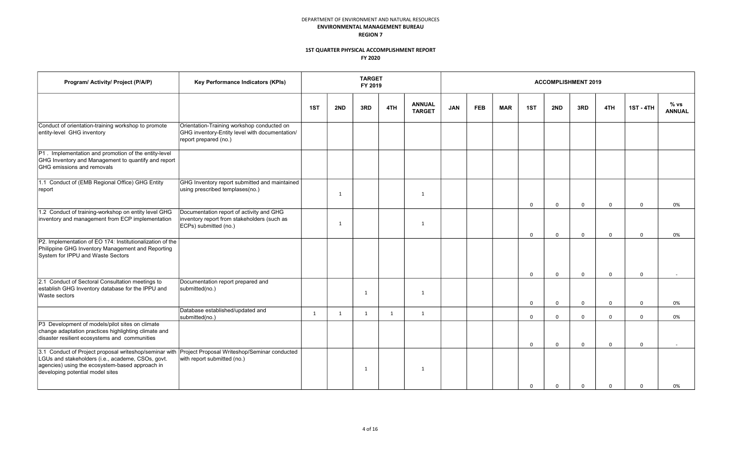| Program/ Activity/ Project (P/A/P)                                                                                                                                                                 | Key Performance Indicators (KPIs)                                                                                     |     |              | <b>TARGET</b><br>FY 2019 |     |                                |            |            |            |             | <b>ACCOMPLISHMENT 2019</b> |              |              |                  |                       |
|----------------------------------------------------------------------------------------------------------------------------------------------------------------------------------------------------|-----------------------------------------------------------------------------------------------------------------------|-----|--------------|--------------------------|-----|--------------------------------|------------|------------|------------|-------------|----------------------------|--------------|--------------|------------------|-----------------------|
|                                                                                                                                                                                                    |                                                                                                                       | 1ST | 2ND          | 3RD                      | 4TH | <b>ANNUAL</b><br><b>TARGET</b> | <b>JAN</b> | <b>FEB</b> | <b>MAR</b> | 1ST         | 2ND                        | 3RD          | 4TH          | <b>1ST - 4TH</b> | % vs<br><b>ANNUAL</b> |
| Conduct of orientation-training workshop to promote<br>entity-level GHG inventory                                                                                                                  | Orientation-Training workshop conducted on<br>GHG inventory-Entity level with documentation/<br>report prepared (no.) |     |              |                          |     |                                |            |            |            |             |                            |              |              |                  |                       |
| P1. Implementation and promotion of the entity-level<br>GHG Inventory and Management to quantify and report<br><b>GHG</b> emissions and removals                                                   |                                                                                                                       |     |              |                          |     |                                |            |            |            |             |                            |              |              |                  |                       |
| 1.1 Conduct of (EMB Regional Office) GHG Entity<br>report                                                                                                                                          | GHG Inventory report submitted and maintained<br>using prescribed templases(no.)                                      |     | $\mathbf{1}$ |                          |     | $\mathbf{1}$                   |            |            |            | $\mathbf 0$ | $\mathbf 0$                | $\mathsf{O}$ | $\mathbf 0$  | $\mathbf 0$      | 0%                    |
| 1.2 Conduct of training-workshop on entity level GHG<br>inventory and management from ECP implementation                                                                                           | Documentation report of activity and GHG<br>inventory report from stakeholders (such as<br>ECPs) submitted (no.)      |     | $\mathbf{1}$ |                          |     | $\mathbf{1}$                   |            |            |            | $\mathbf 0$ | $\mathbf 0$                | 0            | $\mathbf 0$  | $\mathbf 0$      | 0%                    |
| P2. Implementation of EO 174: Institutionalization of the<br>Philippine GHG Inventory Management and Reporting<br>System for IPPU and Waste Sectors                                                |                                                                                                                       |     |              |                          |     |                                |            |            |            |             |                            |              |              |                  |                       |
|                                                                                                                                                                                                    |                                                                                                                       |     |              |                          |     |                                |            |            |            | $\Omega$    | $\Omega$                   | $\Omega$     | $\Omega$     | $\Omega$         |                       |
| 2.1 Conduct of Sectoral Consultation meetings to<br>establish GHG Inventory database for the IPPU and<br>Waste sectors                                                                             | Documentation report prepared and<br>submitted(no.)                                                                   |     |              | 1                        |     | $\mathbf{1}$                   |            |            |            | $\mathbf 0$ | $\mathbf 0$                | $\mathbf 0$  | $\mathsf{o}$ | $\mathbf 0$      | 0%                    |
|                                                                                                                                                                                                    | Database established/updated and<br>submitted(no.)                                                                    | 1   | 1            | 1                        | 1   | 1                              |            |            |            | $\mathbf 0$ | $\mathbf 0$                | $\mathbf 0$  | $\mathbf 0$  | $\Omega$         | 0%                    |
| P3 Development of models/pilot sites on climate<br>change adaptation practices highlighting climate and<br>disaster resilient ecosystems and communities                                           |                                                                                                                       |     |              |                          |     |                                |            |            |            | $\mathbf 0$ | $\mathbf 0$                | $\mathbf 0$  | $\mathbf 0$  | $\mathbf 0$      |                       |
| 3.1 Conduct of Project proposal writeshop/seminar with<br>LGUs and stakeholders (i.e., academe, CSOs, govt.<br>agencies) using the ecosystem-based approach in<br>developing potential model sites | Project Proposal Writeshop/Seminar conducted<br>with report submitted (no.)                                           |     |              | 1                        |     | $\mathbf{1}$                   |            |            |            | $\Omega$    | $\Omega$                   | $\Omega$     | $\Omega$     | $\Omega$         | 0%                    |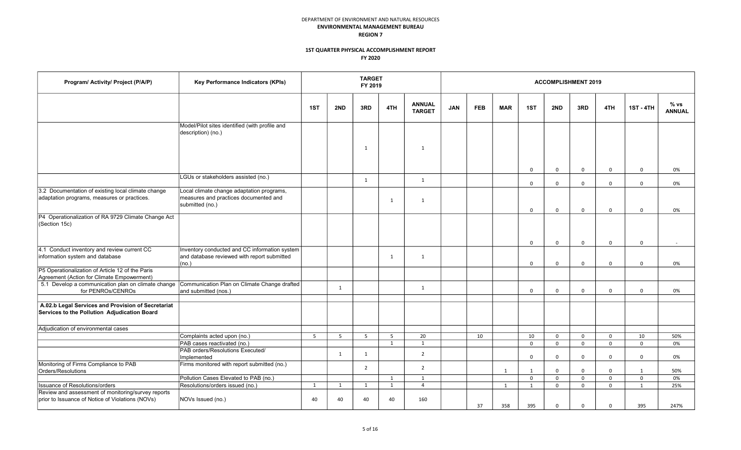| Program/ Activity/ Project (P/A/P)                                                                     | Key Performance Indicators (KPIs)                                                                     |     |     | <b>TARGET</b><br>FY 2019 |              |                                |            |            |            |             |              | <b>ACCOMPLISHMENT 2019</b> |             |                  |                       |
|--------------------------------------------------------------------------------------------------------|-------------------------------------------------------------------------------------------------------|-----|-----|--------------------------|--------------|--------------------------------|------------|------------|------------|-------------|--------------|----------------------------|-------------|------------------|-----------------------|
|                                                                                                        |                                                                                                       | 1ST | 2ND | 3RD                      | 4TH          | <b>ANNUAL</b><br><b>TARGET</b> | <b>JAN</b> | <b>FEB</b> | <b>MAR</b> | 1ST         | 2ND          | 3RD                        | 4TH         | <b>1ST - 4TH</b> | % vs<br><b>ANNUAL</b> |
|                                                                                                        | Model/Pilot sites identified (with profile and<br>description) (no.)                                  |     |     |                          |              |                                |            |            |            |             |              |                            |             |                  |                       |
|                                                                                                        |                                                                                                       |     |     | 1                        |              | 1                              |            |            |            |             |              |                            |             |                  |                       |
|                                                                                                        |                                                                                                       |     |     |                          |              |                                |            |            |            | $\mathbf 0$ | $\mathbf 0$  | $\mathbf 0$                | $\mathbf 0$ | $\mathbf 0$      | 0%                    |
|                                                                                                        | LGUs or stakeholders assisted (no.)                                                                   |     |     | 1                        |              | 1                              |            |            |            | $\mathbf 0$ | $\mathbf 0$  | $\mathbf 0$                | $\mathbf 0$ | $\mathbf 0$      | 0%                    |
| 3.2 Documentation of existing local climate change<br>adaptation programs, measures or practices.      | Local climate change adaptation programs,<br>measures and practices documented and<br>submitted (no.) |     |     |                          | $\mathbf{1}$ | $\mathbf{1}$                   |            |            |            | $\Omega$    | $\mathbf 0$  | $\mathbf 0$                | $\mathbf 0$ | $\mathbf 0$      | 0%                    |
| P4 Operationalization of RA 9729 Climate Change Act<br>(Section 15c)                                   |                                                                                                       |     |     |                          |              |                                |            |            |            | $\Omega$    | $\mathbf 0$  | $\mathbf 0$                | $\Omega$    | $\Omega$         |                       |
| 4.1 Conduct inventory and review current CC<br>information system and database                         | Inventory conducted and CC information system<br>and database reviewed with report submitted<br>(no.) |     |     |                          | 1            | 1                              |            |            |            | $\mathbf 0$ | $\mathbf 0$  | $\mathbf 0$                | $\mathbf 0$ | $\mathbf 0$      | 0%                    |
| P5 Operationalization of Article 12 of the Paris<br>Agreement (Action for Climate Empowerment)         |                                                                                                       |     |     |                          |              |                                |            |            |            |             |              |                            |             |                  |                       |
| 5.1 Develop a communication plan on climate change<br>for PENROs/CENROs                                | Communication Plan on Climate Change drafted<br>and submitted (nos.)                                  |     | 1   |                          |              | 1                              |            |            |            | $\mathbf 0$ | $\mathbf{0}$ | $\mathbf 0$                | $\mathbf 0$ | $\mathbf 0$      | 0%                    |
| A.02.b Legal Services and Provision of Secretariat<br>Services to the Pollution Adjudication Board     |                                                                                                       |     |     |                          |              |                                |            |            |            |             |              |                            |             |                  |                       |
| Adiudication of environmental cases                                                                    |                                                                                                       |     |     |                          |              |                                |            |            |            |             |              |                            |             |                  |                       |
|                                                                                                        | Complaints acted upon (no.)                                                                           | 5   | 5   | $5^{\circ}$              | 5            | 20                             |            | 10         |            | 10          | $\mathsf{O}$ | $\mathbf 0$                | $\mathbf 0$ | 10               | 50%                   |
|                                                                                                        | PAB cases reactivated (no.)                                                                           |     |     |                          | 1            | 1                              |            |            |            | $\mathbf 0$ | $\mathbf 0$  | $\mathbf 0$                | $\mathbf 0$ | $\Omega$         | 0%                    |
|                                                                                                        | PAB orders/Resolutions Executed/<br>Implemented                                                       |     | 1   | 1                        |              | $\overline{2}$                 |            |            |            | $\mathbf 0$ | $\mathbf{0}$ | $\mathbf 0$                | $\mathbf 0$ | $\mathbf 0$      | 0%                    |
| Monitoring of Firms Compliance to PAB<br>Orders/Resolutions                                            | Firms monitored with report submitted (no.)                                                           |     |     | $\overline{2}$           |              | 2                              |            |            | 1          | 1           | $\mathbf 0$  | $\mathbf 0$                | 0           | $\mathbf{1}$     | 50%                   |
|                                                                                                        | Pollution Cases Elevated to PAB (no.)                                                                 |     |     |                          | 1            | 1                              |            |            |            | $\mathsf 0$ | $\mathsf{O}$ | $\mathbf 0$                | $\mathbf 0$ | $\mathbf 0$      | 0%                    |
| <b>Issuance of Resolutions/orders</b>                                                                  | Resolutions/orders issued (no.)                                                                       | 1   | 1   | 1                        | 1            | $\overline{4}$                 |            |            | 1          | 1           | $\mathbf 0$  | $\mathbf 0$                | $\mathbf 0$ | 1                | 25%                   |
| Review and assessment of monitoring/survey reports<br>prior to Issuance of Notice of Violations (NOVs) | NOVs Issued (no.)                                                                                     | 40  | 40  | 40                       | 40           | 160                            |            | 37         | 358        | 395         | $\Omega$     | $\Omega$                   | $\Omega$    | 395              | 247%                  |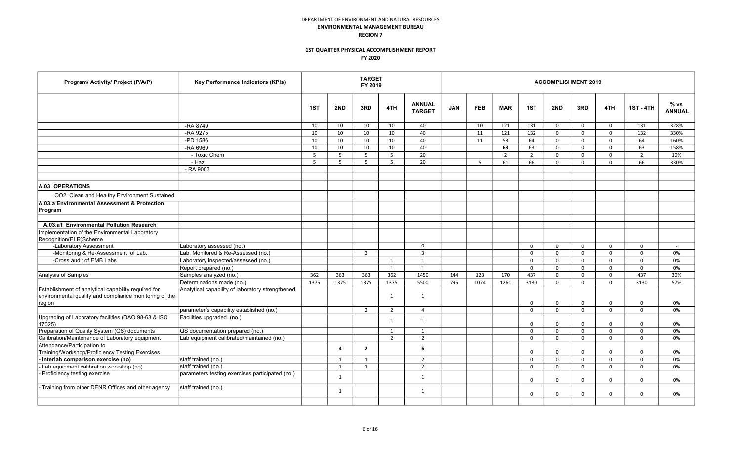| Program/ Activity/ Project (P/A/P)                                       | Key Performance Indicators (KPIs)                |      |                | <b>TARGET</b><br>FY 2019 |                |                                |            |            |            |             |             | <b>ACCOMPLISHMENT 2019</b> |             |                  |                       |
|--------------------------------------------------------------------------|--------------------------------------------------|------|----------------|--------------------------|----------------|--------------------------------|------------|------------|------------|-------------|-------------|----------------------------|-------------|------------------|-----------------------|
|                                                                          |                                                  | 1ST  | 2ND            | 3RD                      | 4TH            | <b>ANNUAL</b><br><b>TARGET</b> | <b>JAN</b> | <b>FEB</b> | <b>MAR</b> | 1ST         | 2ND         | 3RD                        | 4TH         | <b>1ST - 4TH</b> | % vs<br><b>ANNUAL</b> |
|                                                                          | -RA 8749                                         | 10   | 10             | 10                       | 10             | 40                             |            | 10         | 121        | 131         | $\mathbf 0$ | $\Omega$                   | $\Omega$    | 131              | 328%                  |
|                                                                          | -RA 9275                                         | 10   | 10             | 10                       | 10             | 40                             |            | 11         | 121        | 132         | $\Omega$    | 0                          | $\Omega$    | 132              | 330%                  |
|                                                                          | -PD 1586                                         | 10   | 10             | 10                       | 10             | 40                             |            | 11         | 53         | 64          | 0           | 0                          | $\mathbf 0$ | 64               | 160%                  |
|                                                                          | -RA 6969                                         | 10   | 10             | 10                       | 10             | 40                             |            |            | 63         | 63          | 0           | 0                          | $\mathbf 0$ | 63               | 158%                  |
|                                                                          | - Toxic Chem                                     | 5    | 5              | 5                        | - 5            | 20                             |            |            | 2          | 2           | $\Omega$    | 0                          | $\Omega$    | $\overline{2}$   | 10%                   |
|                                                                          | - Haz                                            | -5   | -5             | 5                        | 5              | 20                             |            | 5          | 61         | 66          | $\Omega$    | 0                          | $\Omega$    | 66               | 330%                  |
|                                                                          | - RA 9003                                        |      |                |                          |                |                                |            |            |            |             |             |                            |             |                  |                       |
| A.03 OPERATIONS                                                          |                                                  |      |                |                          |                |                                |            |            |            |             |             |                            |             |                  |                       |
| OO2: Clean and Healthy Environment Sustained                             |                                                  |      |                |                          |                |                                |            |            |            |             |             |                            |             |                  |                       |
| A.03.a Environmental Assessment & Protection<br>Program                  |                                                  |      |                |                          |                |                                |            |            |            |             |             |                            |             |                  |                       |
|                                                                          |                                                  |      |                |                          |                |                                |            |            |            |             |             |                            |             |                  |                       |
| A.03.a1 Environmental Pollution Research                                 |                                                  |      |                |                          |                |                                |            |            |            |             |             |                            |             |                  |                       |
| Implementation of the Environmental Laboratory<br>Recognition(ELR)Scheme |                                                  |      |                |                          |                |                                |            |            |            |             |             |                            |             |                  |                       |
| -Laboratory Assessment                                                   | Laboratory assessed (no.)                        |      |                |                          |                | $\mathbf 0$                    |            |            |            | $\mathbf 0$ | $\Omega$    | 0                          | $\Omega$    | $\Omega$         | $\sim$                |
| -Monitoring & Re-Assessment of Lab.                                      | Lab. Monitored & Re-Assessed (no.)               |      |                | $\overline{3}$           |                | $\overline{3}$                 |            |            |            | $\Omega$    | $\Omega$    | $\Omega$                   | $\Omega$    | $\Omega$         | 0%                    |
| -Cross audit of EMB Labs                                                 | Laboratory inspected/assessed (no.)              |      |                |                          | 1              | $\mathbf{1}$                   |            |            |            | $\mathbf 0$ | $\Omega$    | 0                          | $\mathbf 0$ | $\mathbf 0$      | 0%                    |
|                                                                          | Report prepared (no.)                            |      |                |                          | 1              | 1                              |            |            |            | $\Omega$    | $\Omega$    | $\Omega$                   | $\Omega$    | $\Omega$         | 0%                    |
| Analysis of Samples                                                      | Samples analyzed (no.)                           | 362  | 363            | 363                      | 362            | 1450                           | 144        | 123        | 170        | 437         | $\mathbf 0$ | 0                          | $\mathbf 0$ | 437              | 30%                   |
|                                                                          | Determinations made (no.)                        | 1375 | 1375           | 1375                     | 1375           | 5500                           | 795        | 1074       | 1261       | 3130        | $\Omega$    | 0                          | $\Omega$    | 3130             | 57%                   |
| Establishment of analytical capability required for                      | Analytical capability of laboratory strengthened |      |                |                          |                |                                |            |            |            |             |             |                            |             |                  |                       |
| environmental quality and compliance monitoring of the                   |                                                  |      |                |                          | $\mathbf{1}$   | 1                              |            |            |            |             |             |                            |             |                  |                       |
| region                                                                   |                                                  |      |                |                          |                |                                |            |            |            | $\mathbf 0$ | $\Omega$    | $\Omega$                   | $\mathbf 0$ | $\mathbf 0$      | 0%                    |
|                                                                          | parameter/s capability established (no.)         |      |                | $\overline{2}$           | $\overline{2}$ | $\overline{4}$                 |            |            |            | $\Omega$    | $\Omega$    | $\Omega$                   | $\Omega$    | $\Omega$         | 0%                    |
| Upgrading of Laboratory facilities (DAO 98-63 & ISO<br>17025)            | Facilities upgraded (no.)                        |      |                |                          | 1              | 1                              |            |            |            | $\mathbf 0$ | $\Omega$    | 0                          | $\Omega$    | $\Omega$         | 0%                    |
| Preparation of Quality System (QS) documents                             | QS documentation prepared (no.)                  |      |                |                          | 1              | $\mathbf{1}$                   |            |            |            | $\Omega$    | $\Omega$    | $\Omega$                   | $\Omega$    | $\Omega$         | 0%                    |
| Calibration/Maintenance of Laboratory equipment                          | Lab equipment calibrated/maintained (no.)        |      |                |                          | $\overline{2}$ | $\overline{2}$                 |            |            |            | $\mathbf 0$ | $\mathbf 0$ | 0                          | $\mathbf 0$ | $\mathbf 0$      | 0%                    |
| Attendance/Participation to                                              |                                                  |      | $\overline{a}$ | $\overline{2}$           |                | 6                              |            |            |            |             |             |                            |             |                  |                       |
| Training/Workshop/Proficiency Testing Exercises                          |                                                  |      |                |                          |                |                                |            |            |            | $\Omega$    | $\Omega$    | 0                          | $\Omega$    | $\mathbf 0$      | 0%                    |
| Interlab comparison exercise (no)                                        | staff trained (no.)                              |      | 1              | 1                        |                | $\overline{2}$                 |            |            |            | $\mathbf 0$ | $\mathbf 0$ | 0                          | $\mathbf 0$ | $\mathbf 0$      | 0%                    |
| Lab equipment calibration workshop (no)                                  | staff trained (no.)                              |      | 1              | 1                        |                | $\overline{2}$                 |            |            |            | $\Omega$    | $\Omega$    | $\Omega$                   | $\Omega$    | $\Omega$         | 0%                    |
| Proficiency testing exercise                                             | parameters testing exercises participated (no.)  |      | 1              |                          |                | 1                              |            |            |            | $\mathbf 0$ | $\mathbf 0$ | 0                          | $\mathbf 0$ | $\mathbf 0$      | 0%                    |
| Training from other DENR Offices and other agency                        | staff trained (no.)                              |      | 1              |                          |                | $\mathbf{1}$                   |            |            |            | $\mathbf 0$ | $\Omega$    | $\mathbf 0$                | $\Omega$    | $\mathbf 0$      | 0%                    |
|                                                                          |                                                  |      |                |                          |                |                                |            |            |            |             |             |                            |             |                  |                       |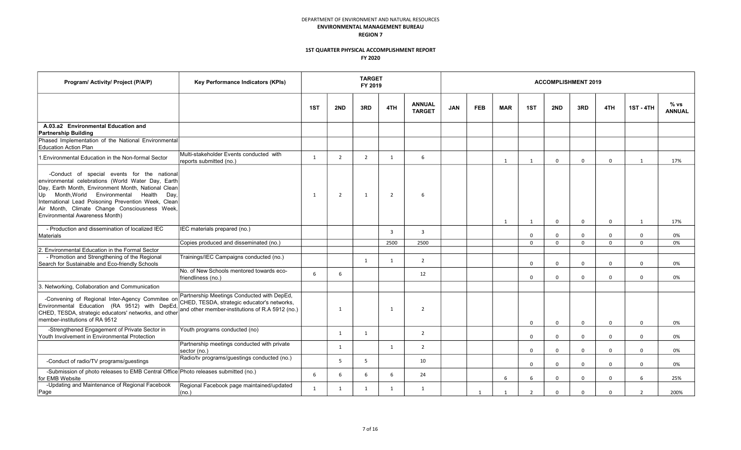| Program/ Activity/ Project (P/A/P)                                                                                                                                                                                                                                                                                                                 | Key Performance Indicators (KPIs)                                                             |     |                | <b>TARGET</b><br>FY 2019 |                |                                |            |            |                |                |              | <b>ACCOMPLISHMENT 2019</b> |             |                  |                       |
|----------------------------------------------------------------------------------------------------------------------------------------------------------------------------------------------------------------------------------------------------------------------------------------------------------------------------------------------------|-----------------------------------------------------------------------------------------------|-----|----------------|--------------------------|----------------|--------------------------------|------------|------------|----------------|----------------|--------------|----------------------------|-------------|------------------|-----------------------|
|                                                                                                                                                                                                                                                                                                                                                    |                                                                                               | 1ST | 2ND            | 3RD                      | 4TH            | <b>ANNUAL</b><br><b>TARGET</b> | <b>JAN</b> | <b>FEB</b> | <b>MAR</b>     | 1ST            | 2ND          | 3RD                        | 4TH         | <b>1ST - 4TH</b> | % vs<br><b>ANNUAL</b> |
| A.03.a2 Environmental Education and                                                                                                                                                                                                                                                                                                                |                                                                                               |     |                |                          |                |                                |            |            |                |                |              |                            |             |                  |                       |
| <b>Partnership Building</b><br>Phased Implementation of the National Environmental<br><b>Education Action Plan</b>                                                                                                                                                                                                                                 |                                                                                               |     |                |                          |                |                                |            |            |                |                |              |                            |             |                  |                       |
| 1. Environmental Education in the Non-formal Sector                                                                                                                                                                                                                                                                                                | Multi-stakeholder Events conducted with<br>reports submitted (no.)                            | 1   | $\overline{2}$ | $\overline{2}$           | 1              | 6                              |            |            | 1              | 1              | $\mathbf 0$  | $\mathbf 0$                | $\mathbf 0$ | 1                | 17%                   |
| -Conduct of special events for the national<br>environmental celebrations (World Water Day, Earth<br>Day, Earth Month, Environment Month, National Clean<br>Up Month, World Environmental Health<br>Day.<br>International Lead Poisoning Prevention Week, Clean<br>Air Month, Climate Change Consciousness Week,<br>Environmental Awareness Month) |                                                                                               | 1   | $\overline{2}$ | 1                        | $\overline{2}$ | 6                              |            |            | 1              | 1              | $\Omega$     | $\mathbf 0$                | $\mathbf 0$ | 1                | 17%                   |
| - Production and dissemination of localized IEC<br>Materials                                                                                                                                                                                                                                                                                       | IEC materials prepared (no.)                                                                  |     |                |                          | $\overline{3}$ | $\overline{3}$                 |            |            |                | $\Omega$       | $\Omega$     | $\mathbf 0$                | $\Omega$    | $\mathbf 0$      | 0%                    |
|                                                                                                                                                                                                                                                                                                                                                    | Copies produced and disseminated (no.)                                                        |     |                |                          | 2500           | 2500                           |            |            |                | $\mathbf 0$    | $\mathsf{O}$ | $\mathbf{0}$               | $\mathbf 0$ | $\mathbf 0$      | 0%                    |
| 2. Environmental Education in the Formal Sector                                                                                                                                                                                                                                                                                                    |                                                                                               |     |                |                          |                |                                |            |            |                |                |              |                            |             |                  |                       |
| - Promotion and Strengthening of the Regional<br>Search for Sustainable and Eco-friendly Schools                                                                                                                                                                                                                                                   | Trainings/IEC Campaigns conducted (no.)                                                       |     |                | 1                        | 1              | 2                              |            |            |                | $\Omega$       | $\Omega$     | $\Omega$                   | $\Omega$    | $\Omega$         | 0%                    |
|                                                                                                                                                                                                                                                                                                                                                    | No. of New Schools mentored towards eco-<br>friendliness (no.)                                | 6   | 6              |                          |                | 12                             |            |            |                | $\mathbf 0$    | $\Omega$     | 0                          | $\Omega$    | $\mathbf 0$      | 0%                    |
| 3. Networking, Collaboration and Communication                                                                                                                                                                                                                                                                                                     |                                                                                               |     |                |                          |                |                                |            |            |                |                |              |                            |             |                  |                       |
| -Convening of Regional Inter-Agency Commitee on Farmount message and convenience of Regional Inter-Agency Committee on CHED, TESDA, strategic educator's networks,<br>Environmental Education (RA 9512) with DepEd,<br>CHED, TESDA, strategic educators' networks, and other<br>member-institutions of RA 9512                                     | Partnership Meetings Conducted with DepEd,<br>and other member-institutions of R.A 5912 (no.) |     | 1              |                          | 1              | $\overline{2}$                 |            |            |                | $\mathbf 0$    | $\Omega$     | $\mathbf 0$                | $\Omega$    | $\Omega$         | 0%                    |
| -Strengthened Engagement of Private Sector in<br>Youth Involvement in Environmental Protection                                                                                                                                                                                                                                                     | Youth programs conducted (no)                                                                 |     | 1              | 1                        |                | $\overline{2}$                 |            |            |                | $\mathbf 0$    | $\mathbf 0$  | 0                          | $\mathbf 0$ | $\mathbf 0$      | 0%                    |
|                                                                                                                                                                                                                                                                                                                                                    | Partnership meetings conducted with private<br>sector (no.)                                   |     | 1              |                          | 1              | $\overline{2}$                 |            |            |                | $\mathbf 0$    | $\mathbf 0$  | 0                          | $\mathbf 0$ | $\mathbf 0$      | 0%                    |
| -Conduct of radio/TV programs/guestings                                                                                                                                                                                                                                                                                                            | Radio/tv programs/guestings conducted (no.)                                                   |     | 5              | 5                        |                | 10                             |            |            |                | $\mathbf 0$    | $\mathbf 0$  | $\mathbf{0}$               | $\mathbf 0$ | $\mathbf 0$      | 0%                    |
| -Submission of photo releases to EMB Central Office Photo releases submitted (no.)<br>for EMB Website                                                                                                                                                                                                                                              |                                                                                               | 6   | 6              | 6                        | 6              | 24                             |            |            | 6              | 6              | $\Omega$     | $\mathbf 0$                | $\Omega$    | 6                | 25%                   |
| -Updating and Maintenance of Regional Facebook<br>Page                                                                                                                                                                                                                                                                                             | Regional Facebook page maintained/updated<br>(no.)                                            | 1   | 1              | 1                        | $\mathbf{1}$   | $\mathbf{1}$                   |            | 1          | $\overline{1}$ | $\overline{2}$ | $\Omega$     | $\Omega$                   | $\Omega$    | $\overline{2}$   | 200%                  |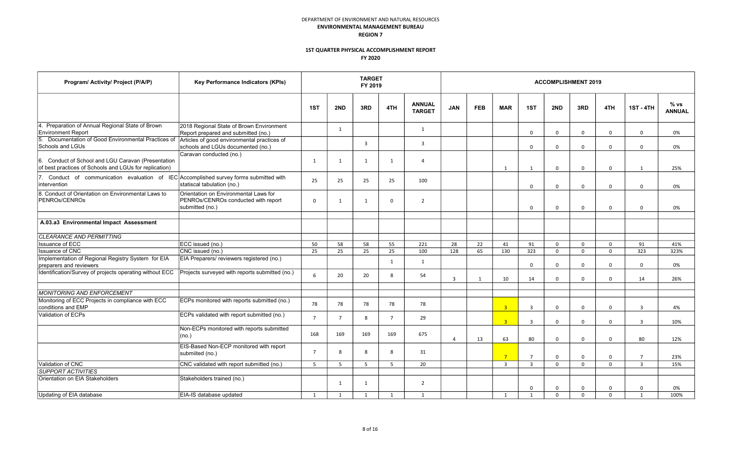| Program/ Activity/ Project (P/A/P)                                                                           | Key Performance Indicators (KPIs)                                                               | <b>TARGET</b><br><b>ACCOMPLISHMENT 2019</b><br>FY 2019 |                |                |                       |                                |                |            |                |                |              |              |             |                  |                       |
|--------------------------------------------------------------------------------------------------------------|-------------------------------------------------------------------------------------------------|--------------------------------------------------------|----------------|----------------|-----------------------|--------------------------------|----------------|------------|----------------|----------------|--------------|--------------|-------------|------------------|-----------------------|
|                                                                                                              |                                                                                                 | 1ST                                                    | 2ND            | 3RD            | 4TH                   | <b>ANNUAL</b><br><b>TARGET</b> | <b>JAN</b>     | <b>FEB</b> | <b>MAR</b>     | 1ST            | 2ND          | 3RD          | 4TH         | <b>1ST - 4TH</b> | % vs<br><b>ANNUAL</b> |
| 4. Preparation of Annual Regional State of Brown<br><b>Environment Report</b>                                | 2018 Regional State of Brown Environment<br>Report prepared and submitted (no.)                 |                                                        | 1              |                |                       | 1                              |                |            |                | $\Omega$       | $\Omega$     | $\Omega$     | $\Omega$    | $\Omega$         | 0%                    |
| Documentation of Good Environmental Practices of<br>5.<br>Schools and LGUs                                   | Articles of good environmental practices of<br>schools and LGUs documented (no.)                |                                                        |                | $\overline{3}$ |                       | $\overline{3}$                 |                |            |                | $\mathbf 0$    | $\mathbf 0$  | $\mathbf 0$  | $\mathbf 0$ | $\Omega$         | 0%                    |
| 6. Conduct of School and LGU Caravan (Presentation<br>of best practices of Schools and LGUs for replication) | Caravan conducted (no.)                                                                         | 1                                                      | $\mathbf{1}$   | 1              | 1                     | $\Delta$                       |                |            | $\mathbf{1}$   | 1              | $\Omega$     | $\mathbf 0$  | $\mathbf 0$ | 1                | 25%                   |
| 7. Conduct of communication evaluation of IEC Accomplished survey forms submitted with<br>intervention       | statiscal tabulation (no.)                                                                      | 25                                                     | 25             | 25             | 25                    | 100                            |                |            |                | $\mathbf 0$    | $\mathbf 0$  | 0            | $\mathbf 0$ | $\mathbf 0$      | 0%                    |
| 8. Conduct of Orientation on Environmental Laws to<br>PENROs/CENROs                                          | Orientation on Environmental Laws for<br>PENROs/CENROs conducted with report<br>submitted (no.) | $\Omega$                                               | $\mathbf{1}$   | 1              | $\mathbf 0$           | $\overline{2}$                 |                |            |                | $\mathbf 0$    | $\mathbf 0$  | $\mathbf 0$  | $\mathbf 0$ | $\mathbf 0$      | 0%                    |
| A.03.a3 Environmental Impact Assessment                                                                      |                                                                                                 |                                                        |                |                |                       |                                |                |            |                |                |              |              |             |                  |                       |
| CLEARANCE AND PERMITTING                                                                                     |                                                                                                 |                                                        |                |                |                       |                                |                |            |                |                |              |              |             |                  |                       |
| <b>Issuance of ECC</b>                                                                                       | ECC issued (no.)                                                                                | 50                                                     | 58             | 58             | 55                    | 221                            | 28             | 22         | 41             | 91             | $\mathbf{0}$ | $\mathbf{0}$ | $\mathbf 0$ | 91               | 41%                   |
| <b>Issuance of CNC</b>                                                                                       | CNC issued (no.)                                                                                | 25                                                     | 25             | 25             | 25                    | 100                            | 128            | 65         | 130            | 323            | $\mathbf 0$  | $\mathbf 0$  | $\mathbf 0$ | 323              | 323%                  |
| Implementation of Regional Registry System for EIA<br>preparers and reviewers                                | EIA Preparers/ reviewers registered (no.)                                                       |                                                        |                |                | 1                     | $\mathbf{1}$                   |                |            |                | $\mathbf 0$    | $\Omega$     | 0            | $\Omega$    | $\mathbf 0$      | 0%                    |
| Identification/Survey of projects operating without ECC                                                      | Projects surveyed with reports submitted (no.)                                                  | $6\overline{6}$                                        | 20             | 20             | $\mathsf{\mathsf{R}}$ | 54                             | $\overline{3}$ | 1          | 10             | 14             | $\mathbf 0$  | $\mathbf{0}$ | $\mathbf 0$ | 14               | 26%                   |
| <b>MONITORING AND ENFORCEMENT</b>                                                                            |                                                                                                 |                                                        |                |                |                       |                                |                |            |                |                |              |              |             |                  |                       |
| Monitoring of ECC Projects in compliance with ECC<br>conditions and EMP                                      | ECPs monitored with reports submitted (no.)                                                     | 78                                                     | 78             | 78             | 78                    | 78                             |                |            | $\overline{3}$ | $\overline{3}$ | $\Omega$     | $\Omega$     | $\Omega$    | $\overline{3}$   | 4%                    |
| Validation of ECPs                                                                                           | ECPs validated with report submitted (no.)                                                      | $\overline{7}$                                         | $\overline{7}$ | 8              | $\overline{7}$        | 29                             |                |            | 3 <sup>1</sup> | $\overline{3}$ | $\Omega$     | $\mathbf 0$  | $\Omega$    | $\overline{3}$   | 10%                   |
|                                                                                                              | Non-ECPs monitored with reports submitted<br>(no.)                                              | 168                                                    | 169            | 169            | 169                   | 675                            | $\overline{4}$ | 13         | 63             | 80             | $\Omega$     | $\mathbf 0$  | $\Omega$    | 80               | 12%                   |
|                                                                                                              | EIS-Based Non-ECP monitored with report<br>submiited (no.)                                      | $\overline{7}$                                         | 8              | 8              | 8                     | 31                             |                |            | $7^{\circ}$    | $\overline{7}$ | $\mathbf 0$  | $\mathbf 0$  | $\mathbf 0$ | $\overline{7}$   | 23%                   |
| Validation of CNC                                                                                            | CNC validated with report submitted (no.)                                                       | 5                                                      | 5              | 5 <sup>1</sup> | 5 <sup>1</sup>        | 20                             |                |            | $\overline{3}$ | $\overline{3}$ | $\Omega$     | $\mathbf 0$  | $\Omega$    | $\overline{3}$   | 15%                   |
| <b>SUPPORT ACTIVITIES</b>                                                                                    |                                                                                                 |                                                        |                |                |                       |                                |                |            |                |                |              |              |             |                  |                       |
| Orientation on EIA Stakeholders                                                                              | Stakeholders trained (no.)                                                                      |                                                        | $\mathbf{1}$   | 1              |                       | $\overline{2}$                 |                |            |                | $\mathbf 0$    | $\mathbf 0$  | 0            | $\mathbf 0$ | $\Omega$         | 0%                    |
| Updating of EIA database                                                                                     | EIA-IS database updated                                                                         | 1                                                      | $\mathbf{1}$   | 1              | 1                     | 1                              |                |            | 1              | 1              | $\Omega$     | $\Omega$     | $\Omega$    | 1                | 100%                  |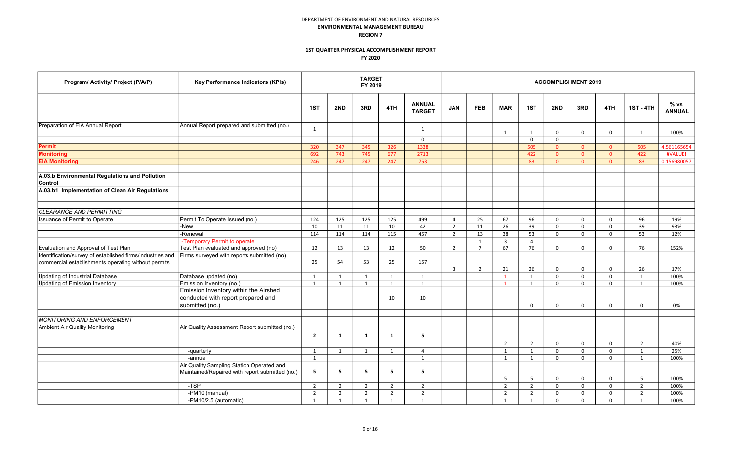| Program/ Activity/ Project (P/A/P)                                                                               | Key Performance Indicators (KPIs)                                                              |                |                | <b>TARGET</b><br>FY 2019 |                |                                |                |                |                |                |                | <b>ACCOMPLISHMENT 2019</b> |                |                  |                       |
|------------------------------------------------------------------------------------------------------------------|------------------------------------------------------------------------------------------------|----------------|----------------|--------------------------|----------------|--------------------------------|----------------|----------------|----------------|----------------|----------------|----------------------------|----------------|------------------|-----------------------|
|                                                                                                                  |                                                                                                | 1ST            | 2ND            | 3RD                      | 4TH            | <b>ANNUAL</b><br><b>TARGET</b> | <b>JAN</b>     | <b>FEB</b>     | <b>MAR</b>     | 1ST            | 2ND            | 3RD                        | 4TH            | <b>1ST - 4TH</b> | % vs<br><b>ANNUAL</b> |
| Preparation of EIA Annual Report                                                                                 | Annual Report prepared and submitted (no.)                                                     | 1              |                |                          |                | $\mathbf{1}$                   |                |                | 1              | 1              | $\mathbf 0$    | $\mathbf{0}$               | $\mathbf{0}$   | 1                | 100%                  |
|                                                                                                                  |                                                                                                |                |                |                          |                | $\mathbf 0$                    |                |                |                | $\mathsf 0$    | $\mathsf 0$    |                            |                |                  |                       |
| Permit                                                                                                           |                                                                                                | 320            | 347            | 345                      | 326            | 1338                           |                |                |                | 505            | $\overline{0}$ | $\overline{0}$             | $\overline{0}$ | 505              | 4.561165654           |
| <b>Monitoring</b>                                                                                                |                                                                                                | 692            | 743            | 745                      | 677            | 2713                           |                |                |                | 422            | $\overline{0}$ | $\overline{0}$             | $\overline{0}$ | 422              | #VALUE!               |
| <b>EIA Monitoring</b>                                                                                            |                                                                                                | 246            | 247            | 247                      | 247            | 753                            |                |                |                | 83             | $\overline{0}$ | $\overline{0}$             | $\overline{0}$ | 83               | 0.156980057           |
| A.03.b Environmental Regulations and Pollution<br>Control<br>A.03.b1 Implementation of Clean Air Regulations     |                                                                                                |                |                |                          |                |                                |                |                |                |                |                |                            |                |                  |                       |
|                                                                                                                  |                                                                                                |                |                |                          |                |                                |                |                |                |                |                |                            |                |                  |                       |
| CLEARANCE AND PERMITTING                                                                                         |                                                                                                |                |                |                          |                |                                |                |                |                |                |                |                            |                |                  |                       |
| Issuance of Permit to Operate                                                                                    | Permit To Operate Issued (no.)                                                                 | 124            | 125            | 125                      | 125            | 499                            | $\overline{4}$ | 25             | 67             | 96             | $\mathbf 0$    | $\mathbf 0$                | $\mathbf 0$    | 96               | 19%                   |
|                                                                                                                  | -New                                                                                           | 10             | 11             | 11                       | 10             | 42                             | $\overline{2}$ | 11             | 26             | 39             | $\mathbf 0$    | $\mathbf 0$                | $\mathbf 0$    | 39               | 93%                   |
|                                                                                                                  | -Renewal                                                                                       | 114            | 114            | 114                      | 115            | 457                            | $\overline{2}$ | 13             | 38             | 53             | $\mathbf 0$    | $\mathsf{O}$               | $\mathbf 0$    | 53               | 12%                   |
|                                                                                                                  | -Temporary Permit to operate                                                                   |                |                |                          |                |                                |                | 1              | $\overline{3}$ | $\overline{4}$ |                |                            |                |                  |                       |
| Evaluation and Approval of Test Plan                                                                             | Test Plan evaluated and approved (no)                                                          | 12             | 13             | 13                       | 12             | 50                             | $\overline{2}$ | $\overline{7}$ | 67             | 76             | $\mathbf 0$    | $\mathsf{O}$               | $\mathbf 0$    | 76               | 152%                  |
| Identification/survey of established firms/industries and<br>commercial establishments operating without permits | Firms surveyed with reports submitted (no)                                                     | 25             | 54             | 53                       | 25             | 157                            | $\overline{3}$ | $\overline{2}$ | 21             | 26             | $\Omega$       | $\mathbf 0$                | $\mathbf 0$    | 26               | 17%                   |
| Updating of Industrial Database                                                                                  | Database updated (no)                                                                          | 1              | 1              | 1                        | 1              | 1                              |                |                | $\mathbf{1}$   | 1              | $\mathbf 0$    | $\mathbf 0$                | $\mathsf{o}$   | 1                | 100%                  |
| Updating of Emission Inventory                                                                                   | Emission Inventory (no.)                                                                       | 1              | 1              | 1                        | 1              | $\mathbf{1}$                   |                |                | $\mathbf{1}$   | 1              | $\mathbf 0$    | $\mathsf{O}$               | $\mathbf 0$    | 1                | 100%                  |
|                                                                                                                  | Emission Inventory within the Airshed<br>conducted with report prepared and<br>submitted (no.) |                |                |                          | 10             | 10                             |                |                |                | $\mathbf 0$    | $\mathbf 0$    | $\mathbf 0$                | 0              | $\mathbf 0$      | 0%                    |
| <b>MONITORING AND ENFORCEMENT</b>                                                                                |                                                                                                |                |                |                          |                |                                |                |                |                |                |                |                            |                |                  |                       |
| Ambient Air Quality Monitoring                                                                                   | Air Quality Assessment Report submitted (no.)                                                  | $\overline{2}$ | $\mathbf{1}$   | $\mathbf{1}$             | $\mathbf{1}$   | 5                              |                |                | 2              | $\overline{2}$ | $\mathbf 0$    | 0                          | 0              | $\overline{2}$   | 40%                   |
|                                                                                                                  | -quarterly                                                                                     | 1              | 1              | 1                        | 1              | $\overline{4}$                 |                |                | 1              | 1              | $\mathbf 0$    | 0                          | $\mathbf 0$    | 1                | 25%                   |
|                                                                                                                  | -annual                                                                                        | 1              |                |                          |                | $\mathbf{1}$                   |                |                | 1              | 1              | 0              | $\mathbf 0$                | $\mathbf 0$    | 1                | 100%                  |
|                                                                                                                  | Air Quality Sampling Station Operated and<br>Maintained/Repaired with report submitted (no.)   | 5              | 5              | -5                       | 5              | 5                              |                |                | 5              | 5              | $\mathbf 0$    | $\mathbf 0$                | $\mathbf 0$    | 5                | 100%                  |
|                                                                                                                  | $-TSP$                                                                                         | 2              | $\overline{2}$ | 2                        | $\overline{2}$ | $\overline{2}$                 |                |                | 2              | $\overline{2}$ | $\mathbf 0$    | $\mathbf 0$                | $\mathbf 0$    | $\overline{2}$   | 100%                  |
|                                                                                                                  | $-FM10$ (manual)                                                                               | $\overline{2}$ | $\overline{2}$ | $\overline{2}$           | $\overline{2}$ | $\overline{2}$                 |                |                | $\overline{2}$ | $\overline{2}$ | $\mathbf 0$    | $\mathbf 0$                | $\mathbf 0$    | $\overline{2}$   | 100%                  |
|                                                                                                                  | -PM10/2.5 (automatic)                                                                          | 1              | $\mathbf{1}$   | 1                        | 1              | $\mathbf{1}$                   |                |                | 1              | $\overline{1}$ | $\Omega$       | $\Omega$                   | $\Omega$       | 1                | 100%                  |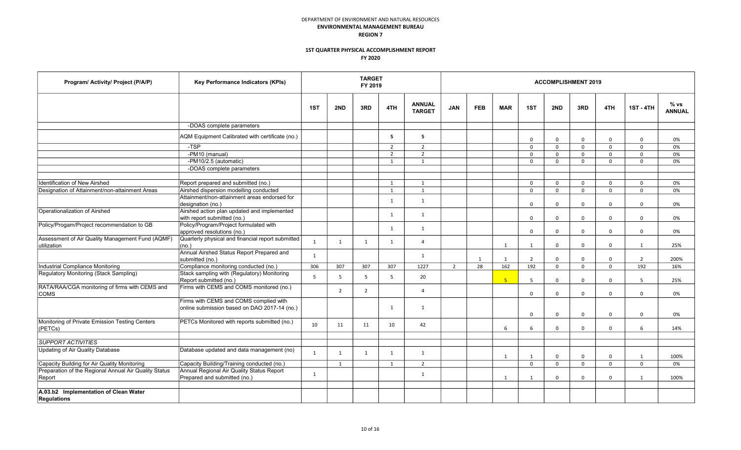| Program/ Activity/ Project (P/A/P)                              | Key Performance Indicators (KPIs)                                                      |                |                | <b>TARGET</b><br>FY 2019 |                |                                |                |              |                |                |              | <b>ACCOMPLISHMENT 2019</b> |              |                  |                       |
|-----------------------------------------------------------------|----------------------------------------------------------------------------------------|----------------|----------------|--------------------------|----------------|--------------------------------|----------------|--------------|----------------|----------------|--------------|----------------------------|--------------|------------------|-----------------------|
|                                                                 |                                                                                        | 1ST            | 2ND            | 3RD                      | 4TH            | <b>ANNUAL</b><br><b>TARGET</b> | <b>JAN</b>     | <b>FEB</b>   | <b>MAR</b>     | 1ST            | 2ND          | 3RD                        | 4TH          | <b>1ST - 4TH</b> | % vs<br><b>ANNUAL</b> |
|                                                                 | -DOAS complete parameters                                                              |                |                |                          |                |                                |                |              |                |                |              |                            |              |                  |                       |
|                                                                 | AQM Equipment Calibrated with certificate (no.)                                        |                |                |                          | 5              | 5                              |                |              |                | $\mathbf 0$    | $\mathbf 0$  | $\mathbf 0$                | $\mathbf 0$  | $\Omega$         | 0%                    |
|                                                                 | -TSP                                                                                   |                |                |                          | $\overline{2}$ | $\overline{2}$                 |                |              |                | $\mathbf 0$    | $\mathbf 0$  | $\mathbf{0}$               | $\Omega$     | $\Omega$         | 0%                    |
|                                                                 | -PM10 (manual)                                                                         |                |                |                          | $\overline{2}$ | $\overline{2}$                 |                |              |                | $\mathbf 0$    | $\mathbf{0}$ | $\mathbf{0}$               | $\mathbf 0$  | $\Omega$         | 0%                    |
|                                                                 | -PM10/2.5 (automatic)                                                                  |                |                |                          | 1              | $\mathbf{1}$                   |                |              |                | $\mathbf 0$    | $\mathbf{0}$ | $\mathbf{0}$               | $\mathbf 0$  | $\Omega$         | 0%                    |
|                                                                 | -DOAS complete parameters                                                              |                |                |                          |                |                                |                |              |                |                |              |                            |              |                  |                       |
|                                                                 |                                                                                        |                |                |                          |                |                                |                |              |                |                |              |                            |              |                  |                       |
| Identification of New Airshed                                   | Report prepared and submitted (no.)                                                    |                |                |                          | 1              | $\mathbf{1}$                   |                |              |                | $\mathbf 0$    | $\mathbf 0$  | $\mathbf{0}$               | $\mathbf{0}$ | $\Omega$         | 0%                    |
| Designation of Attainment/non-attainment Areas                  | Airshed dispersion modelling conducted                                                 |                |                |                          | 1              | $\mathbf{1}$                   |                |              |                | $\Omega$       | $\mathbf 0$  | $\mathbf{0}$               | $\mathbf 0$  | $\Omega$         | 0%                    |
|                                                                 | Attainment/non-attainment areas endorsed for                                           |                |                |                          | 1              | $\mathbf{1}$                   |                |              |                |                |              |                            |              |                  |                       |
|                                                                 | designation (no.)                                                                      |                |                |                          |                |                                |                |              |                | $\mathbf 0$    | $\Omega$     | $\mathbf 0$                | $\mathbf 0$  | $\Omega$         | 0%                    |
| Operationalization of Airshed                                   | Airshed action plan updated and implemented<br>with report submitted (no.)             |                |                |                          | 1              | $\mathbf{1}$                   |                |              |                | $\Omega$       | $\mathbf 0$  | $\mathbf 0$                | $\mathbf 0$  | $\Omega$         | 0%                    |
| Policy/Progam/Project recommendation to GB                      | Policy/Program/Project formulated with<br>approved resolutions (no.)                   |                |                |                          | $\mathbf{1}$   | $\mathbf{1}$                   |                |              |                | $\Omega$       | $\Omega$     | $\Omega$                   | $\mathbf 0$  | $\Omega$         | 0%                    |
| Assessment of Air Quality Management Fund (AQMF)<br>utilization | Quarterly physical and financial report submitted<br>(no.)                             | $\mathbf{1}$   | $\mathbf{1}$   | $\mathbf{1}$             | $\mathbf{1}$   | $\Delta$                       |                |              | 1              | 1              | $\Omega$     | $\Omega$                   | $\Omega$     | $\mathbf{1}$     | 25%                   |
|                                                                 | Annual Airshed Status Report Prepared and<br>submitted (no.)                           | $\overline{1}$ |                |                          |                | $\mathbf{1}$                   |                | $\mathbf{1}$ | 1              | $\overline{2}$ | $\Omega$     | $\mathbf 0$                | $\mathbf 0$  | $\overline{2}$   | 200%                  |
| Industrial Compliance Monitoring                                | Compliance monitoring conducted (no.)                                                  | 306            | 307            | 307                      | 307            | 1227                           | $\overline{2}$ | 28           | 162            | 192            | $\Omega$     | $\Omega$                   | $\Omega$     | 192              | 16%                   |
| Regulatory Monitoring (Stack Sampling)                          | Stack sampling with (Regulatory) Monitoring<br>Report submitted (no.)                  | 5              | 5              | $5^{\circ}$              | 5              | 20                             |                |              | 5 <sup>1</sup> | $5^{\circ}$    | $\Omega$     | $\Omega$                   | $\Omega$     | $5^{\circ}$      | 25%                   |
| RATA/RAA/CGA monitoring of firms with CEMS and<br><b>COMS</b>   | Firms with CEMS and COMS monitored (no.)                                               |                | $\overline{2}$ | $\overline{2}$           |                | 4                              |                |              |                | $\Omega$       | $\Omega$     | $\Omega$                   | $\Omega$     | $\Omega$         | 0%                    |
|                                                                 | Firms with CEMS and COMS complied with<br>online submission based on DAO 2017-14 (no.) |                |                |                          | 1              | 1                              |                |              |                | $\Omega$       | $\mathbf 0$  | $\mathbf 0$                | $\mathbf 0$  | $\mathbf 0$      | 0%                    |
| Monitoring of Private Emission Testing Centers<br>(PETCs)       | PETCs Monitored with reports submitted (no.)                                           | 10             | 11             | 11                       | 10             | 42                             |                |              | 6              | 6              | $\mathbf 0$  | $\Omega$                   | $\mathbf 0$  | 6                | 14%                   |
| <b>SUPPORT ACTIVITIES</b>                                       |                                                                                        |                |                |                          |                |                                |                |              |                |                |              |                            |              |                  |                       |
| Updating of Air Quality Database                                | Database updated and data management (no)                                              | $\mathbf{1}$   | $\mathbf{1}$   | $\mathbf{1}$             | $\mathbf{1}$   | 1                              |                |              | 1              | 1              | $\mathbf{0}$ | $\mathbf 0$                | $\mathsf{o}$ | 1                | 100%                  |
| Capacity Building for Air Quality Monitoring                    | Capacity Building/Training conducted (no.)                                             |                | 1              |                          | 1              | $\overline{2}$                 |                |              |                | $\Omega$       | $\mathbf 0$  | $\mathbf{0}$               | $\mathbf 0$  | $\Omega$         | 0%                    |
| Preparation of the Regional Annual Air Quality Status           | Annual Regional Air Quality Status Report                                              |                |                |                          |                |                                |                |              |                |                |              |                            |              |                  |                       |
| Report                                                          | Prepared and submitted (no.)                                                           | $\mathbf{1}$   |                |                          |                | 1                              |                |              | 1              | 1              | $\mathbf{0}$ | $\mathbf{0}$               | $\mathbf 0$  | 1                | 100%                  |
| A.03.b2 Implementation of Clean Water<br><b>Regulations</b>     |                                                                                        |                |                |                          |                |                                |                |              |                |                |              |                            |              |                  |                       |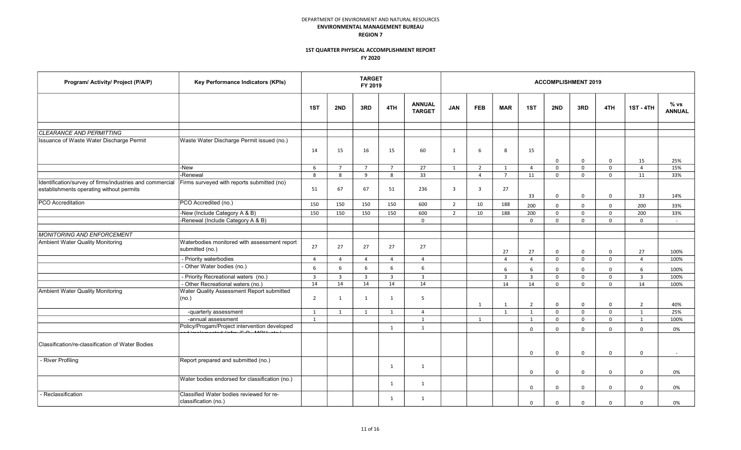| Program/ Activity/ Project (P/A/P)                                                                   | Key Performance Indicators (KPIs)                                |                |                         | <b>TARGET</b><br>FY 2019 |                |                                |                |                |                         |                | <b>ACCOMPLISHMENT 2019</b> |              |              |                  |                       |
|------------------------------------------------------------------------------------------------------|------------------------------------------------------------------|----------------|-------------------------|--------------------------|----------------|--------------------------------|----------------|----------------|-------------------------|----------------|----------------------------|--------------|--------------|------------------|-----------------------|
|                                                                                                      |                                                                  | 1ST            | 2ND                     | 3RD                      | 4TH            | <b>ANNUAL</b><br><b>TARGET</b> | <b>JAN</b>     | <b>FEB</b>     | <b>MAR</b>              | 1ST            | 2ND                        | 3RD          | 4TH          | <b>1ST - 4TH</b> | % vs<br><b>ANNUAL</b> |
| <b>CLEARANCE AND PERMITTING</b>                                                                      |                                                                  |                |                         |                          |                |                                |                |                |                         |                |                            |              |              |                  |                       |
| Issuance of Waste Water Discharge Permit                                                             | Waste Water Discharge Permit issued (no.)                        | 14             | 15                      | 16                       | 15             | 60                             | 1              | 6              | 8                       | 15             | $\mathbf 0$                | $\mathbf 0$  | $\mathbf 0$  | 15               | 25%                   |
|                                                                                                      | -New                                                             | 6              | $\overline{7}$          | $\overline{7}$           | $\overline{7}$ | 27                             | 1              | $\overline{2}$ | 1                       | $\overline{4}$ | $\mathbf 0$                | $\mathbf 0$  | $\mathbf 0$  | $\overline{4}$   | 15%                   |
|                                                                                                      | -Renewal                                                         | 8              | 8                       | 9                        | 8              | 33                             |                | $\overline{4}$ | $\overline{7}$          | 11             | $\mathbf 0$                | $\mathbf 0$  | $\mathbf 0$  | 11               | 33%                   |
| Identification/survey of firms/industries and commercial<br>establishments operating without permits | Firms surveyed with reports submitted (no)                       | 51             | 67                      | 67                       | 51             | 236                            | $\overline{3}$ | $\overline{3}$ | 27                      | 33             | $\mathbf 0$                | $\mathbf 0$  | $\mathbf 0$  | 33               | 14%                   |
| <b>PCO</b> Accreditation                                                                             | PCO Accredited (no.)                                             | 150            | 150                     | 150                      | 150            | 600                            | $\overline{2}$ | 10             | 188                     | 200            | $\mathbf 0$                | $\mathbf 0$  | $\mathbf 0$  | 200              | 33%                   |
|                                                                                                      | -New (Include Category A & B)                                    | 150            | 150                     | 150                      | 150            | 600                            | $\overline{2}$ | 10             | 188                     | 200            | $\mathbf 0$                | $\mathbf{0}$ | $\Omega$     | 200              | 33%                   |
|                                                                                                      | -Renewal (Include Category A & B)                                |                |                         |                          |                | $\mathbf 0$                    |                |                |                         | $\mathbf 0$    | $\Omega$                   | $\mathbf 0$  | $\mathbf 0$  | $\Omega$         | $\sim$                |
| <b>MONITORING AND ENFORCEMENT</b>                                                                    |                                                                  |                |                         |                          |                |                                |                |                |                         |                |                            |              |              |                  |                       |
| Ambient Water Quality Monitoring                                                                     | Waterbodies monitored with assessment report<br>submitted (no.)  | 27             | 27                      | 27                       | 27             | 27                             |                |                | 27                      | 27             | $\mathbf 0$                | 0            | $\mathsf 0$  | 27               | 100%                  |
|                                                                                                      | - Priority waterbodies                                           | $\overline{4}$ | $\overline{4}$          | $\overline{4}$           | $\overline{4}$ | $\overline{4}$                 |                |                | $\overline{4}$          | $\overline{4}$ | $\mathbf 0$                | $\mathbf 0$  | $\mathbf 0$  | $\overline{4}$   | 100%                  |
|                                                                                                      | - Other Water bodies (no.)                                       | 6              | 6                       | 6                        | 6              | 6                              |                |                | 6                       | 6              | $\mathbf 0$                | $\mathbf 0$  | $\mathbf 0$  | 6                | 100%                  |
|                                                                                                      | - Priority Recreational waters (no.)                             | $\overline{3}$ | $\overline{\mathbf{3}}$ | $\overline{3}$           | $\overline{3}$ | $\overline{3}$                 |                |                | $\overline{\mathbf{3}}$ | $\overline{3}$ | $\mathbf 0$                | $\mathbf 0$  | $\mathbf 0$  | $\overline{3}$   | 100%                  |
|                                                                                                      | - Other Recreational waters (no.)                                | 14             | 14                      | 14                       | 14             | 14                             |                |                | 14                      | 14             | $\mathbf 0$                | $\mathbf{0}$ | $\mathbf 0$  | 14               | 100%                  |
| Ambient Water Quality Monitoring                                                                     | Water Quality Assessment Report submitted<br>(no.)               | $\overline{2}$ | 1                       | 1                        | 1              | -5                             |                | 1              | 1                       | $\overline{2}$ | $\mathbf 0$                | 0            | $\mathsf 0$  | $\overline{2}$   | 40%                   |
|                                                                                                      | -quarterly assessment                                            | 1              | 1                       | 1                        | 1              | $\overline{4}$                 |                |                | 1                       | 1              | $\mathbf 0$                | $\mathbf 0$  | $\mathbf 0$  | 1                | 25%                   |
|                                                                                                      | -annual assessment                                               | $\mathbf{1}$   |                         |                          |                | $\mathbf{1}$                   |                | $\mathbf{1}$   |                         | 1              | $\mathbf 0$                | $\mathbf 0$  | $\mathbf 0$  | $\mathbf{1}$     | 100%                  |
|                                                                                                      | Policy/Progam/Project intervention developed                     |                |                         |                          | 1              | $\mathbf{1}$                   |                |                |                         | $\mathbf 0$    | $\mathbf{0}$               | $\mathsf{O}$ | $\mathbf 0$  | $\mathbf 0$      | 0%                    |
| Classification/re-classification of Water Bodies                                                     |                                                                  |                |                         |                          |                |                                |                |                |                         | $\Omega$       | $\Omega$                   | 0            | $\mathsf 0$  | $\mathbf 0$      | $\sim$                |
| - River Profiling                                                                                    | Report prepared and submitted (no.)                              |                |                         |                          | 1              | 1                              |                |                |                         | $\mathbf 0$    | $\mathbf 0$                | $\mathbf 0$  | $\mathbf 0$  | $\mathbf 0$      | 0%                    |
|                                                                                                      | Water bodies endorsed for classification (no.)                   |                |                         |                          | 1              | 1                              |                |                |                         | $\mathbf 0$    | $\mathbf 0$                | $\mathbf 0$  | $\mathsf{o}$ | $\Omega$         | 0%                    |
| - Reclassification                                                                                   | Classified Water bodies reviewed for re-<br>classification (no.) |                |                         |                          | 1              | 1                              |                |                |                         | $\Omega$       | $\Omega$                   | $\Omega$     | $\Omega$     | $\Omega$         | 0%                    |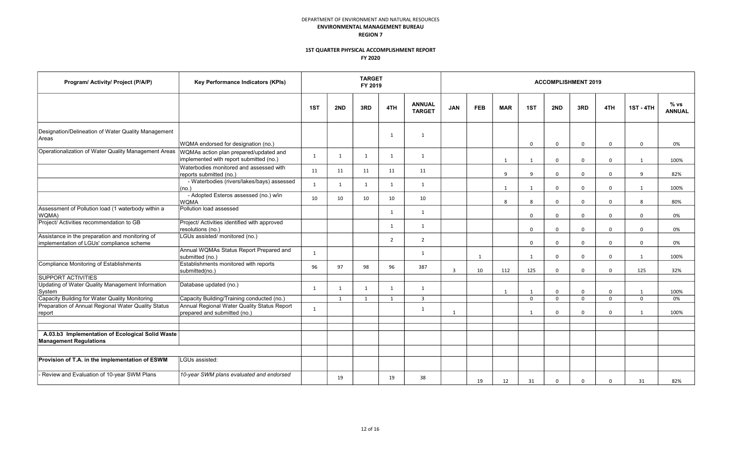| Program/ Activity/ Project (P/A/P)                                                           | Key Performance Indicators (KPIs)                                                 |              |     | <b>TARGET</b><br>FY 2019 |                |                                |                |              |                |                |             | <b>ACCOMPLISHMENT 2019</b> |                  |                       |      |
|----------------------------------------------------------------------------------------------|-----------------------------------------------------------------------------------|--------------|-----|--------------------------|----------------|--------------------------------|----------------|--------------|----------------|----------------|-------------|----------------------------|------------------|-----------------------|------|
|                                                                                              |                                                                                   | 1ST          | 2ND | 3RD                      | 4TH            | <b>ANNUAL</b><br><b>TARGET</b> | <b>FEB</b>     | <b>MAR</b>   | 1ST            | 2ND            | 3RD         | 4TH                        | <b>1ST - 4TH</b> | % vs<br><b>ANNUAL</b> |      |
| Designation/Delineation of Water Quality Management<br>Areas                                 | WQMA endorsed for designation (no.)                                               |              |     |                          | 1              | $\mathbf{1}$                   |                |              |                | $\mathbf 0$    | $\mathbf 0$ | $\mathbf 0$                | $\Omega$         | $\mathbf 0$           | 0%   |
| Operationalization of Water Quality Management Areas                                         | WQMAs action plan prepared/updated and<br>implemented with report submitted (no.) | 1            | 1   | 1                        | 1              | 1                              |                |              | $\overline{1}$ | 1              | $\Omega$    | $\mathbf 0$                | $\Omega$         | 1                     | 100% |
|                                                                                              | Waterbodies monitored and assessed with<br>reports submitted (no.)                | 11           | 11  | 11                       | 11             | 11                             |                |              | 9              | 9              | $\Omega$    | $\mathbf 0$                | $\Omega$         | 9                     | 82%  |
|                                                                                              | - Waterbodies (rivers/lakes/bays) assessed<br>no.                                 | $\mathbf{1}$ | 1   | 1                        | 1              | 1                              |                |              | $\mathbf{1}$   | $\overline{1}$ | $\Omega$    | $\mathbf 0$                | $\Omega$         | $\overline{1}$        | 100% |
|                                                                                              | - Adopted Esteros assessed (no.) w/in<br><b>WQMA</b>                              | 10           | 10  | 10                       | 10             | 10                             |                |              | 8              | 8              | $\mathbf 0$ | $\mathbf 0$                | $\mathbf 0$      | 8                     | 80%  |
| Assessment of Pollution load (1 waterbody within a<br>WQMA)                                  | Pollution load assessed                                                           |              |     |                          | $\mathbf{1}$   | $\mathbf{1}$                   |                |              |                | $\mathbf 0$    | $\mathbf 0$ | 0                          | $\mathbf 0$      | $\mathbf 0$           | 0%   |
| Project/ Activities recommendation to GB                                                     | Project/ Activities identified with approved<br>resolutions (no.)                 |              |     |                          | $\mathbf{1}$   | $\mathbf{1}$                   |                |              |                | $\mathbf 0$    | $\Omega$    | $\mathbf 0$                | $\mathbf 0$      | $\Omega$              | 0%   |
| Assistance in the preparation and monitoring of<br>Implementation of LGUs' compliance scheme | LGUs assisted/ monitored (no.)                                                    |              |     |                          | $\overline{2}$ | $\overline{2}$                 |                |              |                | $\mathbf 0$    | $\Omega$    | $\mathbf 0$                | $\Omega$         | $\mathbf 0$           | 0%   |
|                                                                                              | Annual WQMAs Status Report Prepared and<br>submitted (no.)                        | $\mathbf{1}$ |     |                          |                | 1                              |                | $\mathbf{1}$ |                | $\overline{1}$ | $\Omega$    | $\mathbf 0$                | $\Omega$         | $\mathbf{1}$          | 100% |
| Compliance Monitoring of Establishments                                                      | Establishments monitored with reports<br>submitted(no.)                           | 96           | 97  | 98                       | 96             | 387                            | $\overline{3}$ | 10           | 112            | 125            | $\mathbf 0$ | $\mathbf 0$                | $\Omega$         | 125                   | 32%  |
| <b>SUPPORT ACTIVITIES</b>                                                                    |                                                                                   |              |     |                          |                |                                |                |              |                |                |             |                            |                  |                       |      |
| Updating of Water Quality Management Information<br>System                                   | Database updated (no.)                                                            | $\mathbf{1}$ | 1   | 1                        | 1              | 1                              |                |              | 1              | 1              | $\mathbf 0$ | 0                          | 0                | $\overline{1}$        | 100% |
| Capacity Building for Water Quality Monitoring                                               | Capacity Building/Training conducted (no.)                                        |              | 1   | $\overline{1}$           | 1              | $\overline{3}$                 |                |              |                | $\mathbf 0$    | $\mathbf 0$ | $\mathbf 0$                | $\Omega$         | $\mathbf 0$           | 0%   |
| Preparation of Annual Regional Water Quality Status<br>report                                | Annual Regional Water Quality Status Report<br>prepared and submitted (no.)       | 1            |     |                          |                | 1                              | $\mathbf{1}$   |              |                | 1              | $\Omega$    | $\mathbf 0$                | $\mathbf 0$      | $\overline{1}$        | 100% |
|                                                                                              |                                                                                   |              |     |                          |                |                                |                |              |                |                |             |                            |                  |                       |      |
| A.03.b3 Implementation of Ecological Solid Waste<br><b>Management Regulations</b>            |                                                                                   |              |     |                          |                |                                |                |              |                |                |             |                            |                  |                       |      |
|                                                                                              |                                                                                   |              |     |                          |                |                                |                |              |                |                |             |                            |                  |                       |      |
| Provision of T.A. in the implementation of ESWM                                              | LGUs assisted:                                                                    |              |     |                          |                |                                |                |              |                |                |             |                            |                  |                       |      |
| - Review and Evaluation of 10-year SWM Plans                                                 | 10-year SWM plans evaluated and endorsed                                          |              | 19  |                          | 19             | 38                             |                | 19           | 12             | 31             | $\Omega$    | $\mathbf 0$                | $\Omega$         | 31                    | 82%  |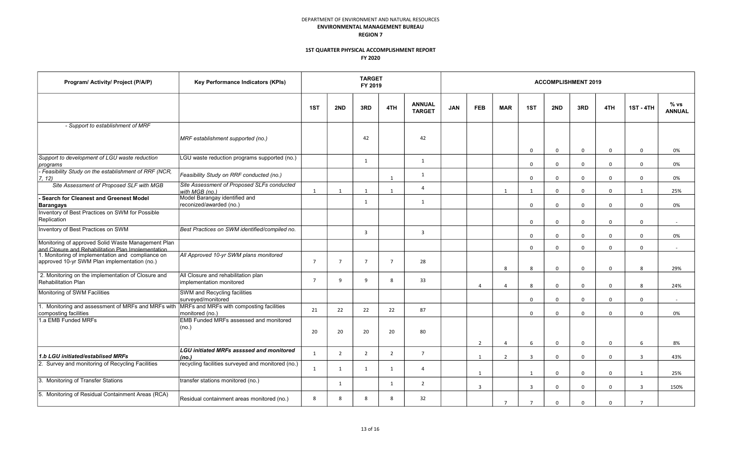| Program/ Activity/ Project (P/A/P)                                                                       | Key Performance Indicators (KPIs)                               |                |                | <b>TARGET</b><br>FY 2019 |                |                                | <b>ACCOMPLISHMENT 2019</b> |                |                |                     |                            |                            |                         |                     |                       |  |
|----------------------------------------------------------------------------------------------------------|-----------------------------------------------------------------|----------------|----------------|--------------------------|----------------|--------------------------------|----------------------------|----------------|----------------|---------------------|----------------------------|----------------------------|-------------------------|---------------------|-----------------------|--|
|                                                                                                          |                                                                 | 1ST            | 2ND            | 3RD                      | 4TH            | <b>ANNUAL</b><br><b>TARGET</b> | <b>JAN</b>                 | <b>FEB</b>     | <b>MAR</b>     | 1ST                 | 2ND                        | 3RD                        | 4TH                     | <b>1ST - 4TH</b>    | % vs<br><b>ANNUAL</b> |  |
| - Support to establishment of MRF                                                                        |                                                                 |                |                |                          |                |                                |                            |                |                |                     |                            |                            |                         |                     |                       |  |
|                                                                                                          | MRF establishment supported (no.)                               |                |                | 42                       |                | 42                             |                            |                |                | $\mathbf 0$         | $\Omega$                   | 0                          | $\mathbf 0$             | $\mathbf 0$         | 0%                    |  |
| Support to development of LGU waste reduction<br>programs                                                | LGU waste reduction programs supported (no.)                    |                |                | $\overline{1}$           |                | 1                              |                            |                |                | $\mathbf 0$         | $\mathbf 0$                | $\mathbf 0$                | $\mathbf 0$             | $\Omega$            | 0%                    |  |
| - Feasibility Study on the establishment of RRF (NCR,<br>7, 12                                           | Feasibility Study on RRF conducted (no.)                        |                |                |                          | 1              | 1                              |                            |                |                | $\mathbf 0$         | $\mathbf 0$                | $\mathbf 0$                | $\mathbf 0$             | $\mathbf 0$         | 0%                    |  |
| Site Assessment of Proposed SLF with MGB                                                                 | Site Assessment of Proposed SLFs conducted<br>with MGB (no.)    | 1              | 1              | $\mathbf{1}$             | 1              | $\overline{4}$                 |                            |                | 1              | 1                   | $\mathbf 0$                | $\mathbf{0}$               | $\Omega$                | $\overline{1}$      | 25%                   |  |
| Search for Cleanest and Greenest Model<br><b>Barangays</b>                                               | Model Barangay identified and<br>reconized/awarded (no.)        |                |                | 1                        |                | 1                              |                            |                |                | $\Omega$            | $\Omega$                   | $\mathbf 0$                | $\Omega$                | $\Omega$            | 0%                    |  |
| Inventory of Best Practices on SWM for Possible<br>Replication                                           |                                                                 |                |                |                          |                |                                |                            |                |                | $\Omega$            | $\Omega$                   | $\Omega$                   | $\Omega$                | $\Omega$            | $\sim$                |  |
| Inventory of Best Practices on SWM                                                                       | Best Practices on SWM identified/compiled no.                   |                |                | $\overline{3}$           |                | $\overline{3}$                 |                            |                |                | $\mathbf 0$         | $\mathbf 0$                | $\mathbf 0$                | $\mathbf 0$             | $\mathbf 0$         | 0%                    |  |
| Monitoring of approved Solid Waste Management Plan<br>and Closure and Rehabilitation Plan Implementation |                                                                 |                |                |                          |                |                                |                            |                |                | $\mathbf 0$         | $\Omega$                   | $\mathbf 0$                | $\mathbf 0$             | $\mathbf 0$         | $\sim$                |  |
| 1. Monitoring of implementation and compliance on<br>approved 10-yr SWM Plan implementation (no.)        | All Approved 10-yr SWM plans monitored                          | $\overline{7}$ | $\overline{7}$ | $\overline{7}$           | $\overline{7}$ | 28                             |                            |                | 8              | 8                   | $\Omega$                   | $\Omega$                   | $\Omega$                | 8                   | 29%                   |  |
| 2. Monitoring on the implementation of Closure and<br><b>Rehabilitation Plan</b>                         | All Closure and rehabilitation plan<br>implementation monitored | $\overline{7}$ | 9              | 9                        | 8              | 33                             |                            | $\Delta$       | $\Delta$       | 8                   | $\Omega$                   | $\mathbf 0$                | $\mathbf 0$             | 8                   | 24%                   |  |
| Monitoring of SWM Facilities                                                                             | <b>SWM and Recycling facilities</b><br>surveyed/monitored       |                |                |                          |                |                                |                            |                |                | $\Omega$            | $\Omega$                   | $\mathbf 0$                | $\Omega$                | $\Omega$            | $\sim$                |  |
| 1. Monitoring and assessment of MRFs and MRFs with<br>composting facilities                              | MRFs and MRFs with composting facilities<br>monitored (no.)     | 21             | 22             | 22                       | 22             | 87                             |                            |                |                | $\mathbf 0$         | $\Omega$                   | $\Omega$                   | $\Omega$                | $\Omega$            | 0%                    |  |
| 1.a EMB Funded MRFs                                                                                      | EMB Funded MRFs assessed and monitored<br>(no.)                 | 20             | 20             | 20                       | 20             | 80                             |                            | $\overline{2}$ | $\overline{4}$ | 6                   | $\Omega$                   | $\mathbf 0$                | $\mathbf 0$             | 6                   | 8%                    |  |
| 1.b LGU initiated/establised MRFs                                                                        | <b>LGU</b> initiated MRFs assssed and monitored                 | $\mathbf{1}$   | $\overline{2}$ | $\overline{2}$           | $\overline{2}$ | $\overline{7}$                 |                            | 1              | $\overline{2}$ | $\overline{3}$      | $\mathbf 0$                | $\mathbf 0$                | $\mathbf 0$             | $\overline{3}$      | 43%                   |  |
| 2. Survey and monitoring of Recycling Facilities                                                         | (no.)<br>recycling facilities surveyed and monitored (no.)      | 1              | 1              | 1                        | 1              | $\overline{a}$                 |                            |                |                |                     |                            |                            |                         |                     |                       |  |
| 3. Monitoring of Transfer Stations                                                                       | transfer stations monitored (no.)                               |                | 1              |                          | 1              | $\overline{2}$                 |                            | 1<br>3         |                | 1<br>$\overline{3}$ | $\mathbf 0$<br>$\mathbf 0$ | $\mathbf 0$<br>$\mathbf 0$ | $\Omega$<br>$\mathbf 0$ | 1<br>$\overline{3}$ | 25%<br>150%           |  |
| 5. Monitoring of Residual Containment Areas (RCA)                                                        | Residual containment areas monitored (no.)                      | 8              | 8              | 8                        | 8              | 32                             |                            |                | $\overline{7}$ | $\overline{7}$      | $\Omega$                   | $\Omega$                   | $\Omega$                | $\overline{7}$      |                       |  |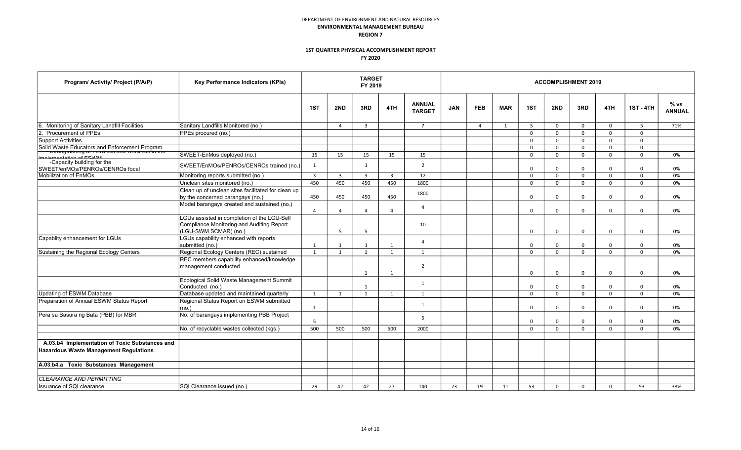| Program/ Activity/ Project (P/A/P)                                                              | Key Performance Indicators (KPIs)                                                                                 |                |                         | <b>TARGET</b><br>FY 2019 |                |                                | <b>ACCOMPLISHMENT 2019</b> |                |            |             |              |              |             |                  |                       |  |  |
|-------------------------------------------------------------------------------------------------|-------------------------------------------------------------------------------------------------------------------|----------------|-------------------------|--------------------------|----------------|--------------------------------|----------------------------|----------------|------------|-------------|--------------|--------------|-------------|------------------|-----------------------|--|--|
|                                                                                                 |                                                                                                                   | 1ST            | 2ND                     | 3RD                      | 4TH            | <b>ANNUAL</b><br><b>TARGET</b> | <b>JAN</b>                 | <b>FEB</b>     | <b>MAR</b> | 1ST         | 2ND          | 3RD          | 4TH         | <b>1ST - 4TH</b> | % vs<br><b>ANNUAL</b> |  |  |
| Monitoring of Sanitary Landfill Facilities                                                      | Sanitary Landfills Monitored (no.)                                                                                |                | $\overline{a}$          | $\overline{3}$           |                | $\overline{7}$                 |                            | $\overline{4}$ | 1          | 5           | $\mathbf 0$  | $\mathbf{0}$ | $\Omega$    | $\overline{5}$   | 71%                   |  |  |
| Procurement of PPEs                                                                             | PPEs procured (no.)                                                                                               |                |                         |                          |                |                                |                            |                |            | $\mathbf 0$ | $\Omega$     | $\Omega$     | $\Omega$    | $\Omega$         |                       |  |  |
| Support Activities                                                                              |                                                                                                                   |                |                         |                          |                |                                |                            |                |            | $\mathbf 0$ | $\Omega$     | $\Omega$     | $\Omega$    | $\Omega$         |                       |  |  |
|                                                                                                 |                                                                                                                   |                |                         |                          |                |                                |                            |                |            | $\mathbf 0$ | $\Omega$     | $\Omega$     | $\Omega$    | $\mathbf 0$      |                       |  |  |
| CFICIMIM                                                                                        | SWEET-EnMos deployed (no.)                                                                                        | 15             | 15                      | 15                       | 15             | 15                             |                            |                |            | $\mathbf 0$ | $\Omega$     | $\Omega$     | $\Omega$    | $\mathbf 0$      | 0%                    |  |  |
| -Capacity building for the<br>SWEET/enMOs/PENROs/CENROs focal                                   | SWEET/EnMOs/PENROs/CENROs trained (no.)                                                                           | 1              |                         | 1                        |                | $\overline{2}$                 |                            |                |            | $\mathbf 0$ | $\Omega$     | $\mathbf 0$  | $\mathbf 0$ | $\mathbf 0$      | 0%                    |  |  |
| Mobilization of EnMOs                                                                           | Monitoring reports submitted (no.)                                                                                | $\overline{3}$ | $\overline{\mathbf{3}}$ | $\overline{3}$           | $\overline{3}$ | 12                             |                            |                |            | $\mathbf 0$ | $\Omega$     | $\mathbf 0$  | $\Omega$    | $\Omega$         | 0%                    |  |  |
|                                                                                                 | Unclean sites monitored (no.)                                                                                     | 450            | 450                     | 450                      | 450            | 1800                           |                            |                |            | $\mathbf 0$ | $\Omega$     | $\Omega$     | $\Omega$    | $\Omega$         | 0%                    |  |  |
|                                                                                                 | Clean up of unclean sites facilitated for clean up<br>by the concerned barangays (no.)                            | 450            | 450                     | 450                      | 450            | 1800                           |                            |                |            | $\mathbf 0$ | $\Omega$     | $\mathbf 0$  | $\Omega$    | $\Omega$         | 0%                    |  |  |
|                                                                                                 | Model barangays created and sustained (no.)                                                                       | Δ              | $\overline{4}$          | $\overline{a}$           | $\overline{a}$ | $\overline{4}$                 |                            |                |            | $\mathbf 0$ | $\Omega$     | $\Omega$     | $\Omega$    | $\Omega$         | 0%                    |  |  |
|                                                                                                 | LGUs assisted in completion of the LGU-Self<br>Compliance Monitoring and Auditing Report<br>(LGU-SWM SCMAR) (no.) |                | 5                       | -5                       |                | 10                             |                            |                |            | $\mathbf 0$ | $\mathbf 0$  | $\mathbf 0$  | $\mathbf 0$ | $\mathbf 0$      | 0%                    |  |  |
| Capablity enhancement for LGUs                                                                  | LGUs capability enhanced with reports<br>submitted (no.)                                                          | 1              | 1                       | $\overline{1}$           | 1              | $\overline{a}$                 |                            |                |            | $\mathbf 0$ | $\mathbf 0$  | $\mathbf 0$  | $\mathbf 0$ | $\mathbf 0$      | 0%                    |  |  |
| Sustaining the Regional Ecology Centers                                                         | Regional Ecology Centers (REC) sustained                                                                          | 1              | $\overline{1}$          | 1                        | $\mathbf{1}$   | $\mathbf{1}$                   |                            |                |            | $\mathbf 0$ | $\mathsf{O}$ | $\mathbf 0$  | $\mathbf 0$ | $\mathbf 0$      | 0%                    |  |  |
|                                                                                                 | REC members capability enhanced/knowledge<br>management conducted                                                 |                |                         | $\overline{1}$           | $\mathbf{1}$   | 2                              |                            |                |            | $\mathbf 0$ | $\Omega$     | $\Omega$     | $\Omega$    | $\Omega$         | 0%                    |  |  |
|                                                                                                 | Ecological Solid Waste Management Summit<br>Conducted (no.)                                                       |                |                         | 1                        |                | 1                              |                            |                |            | $\mathbf 0$ | $\Omega$     | $\Omega$     | $\Omega$    | $\Omega$         | 0%                    |  |  |
| <b>Updating of ESWM Database</b>                                                                | Database updated and maintained quarterly                                                                         | 1              | $\mathbf{1}$            | 1                        | 1              | $\mathbf{1}$                   |                            |                |            | $\mathbf 0$ | $\Omega$     | $\mathbf 0$  | $\Omega$    | $\Omega$         | 0%                    |  |  |
| Preparation of Annual ESWM Status Report                                                        | Regional Status Report on ESWM submitted<br>(no.)                                                                 | 1              |                         |                          |                | 1                              |                            |                |            | $\mathbf 0$ | $\Omega$     | $\mathbf 0$  | $\mathbf 0$ | $\Omega$         | 0%                    |  |  |
| Pera sa Basura ng Bata (PBB) for MBR                                                            | No. of barangays implementing PBB Project                                                                         | 5              |                         |                          |                | $\overline{5}$                 |                            |                |            | $\mathbf 0$ | $\Omega$     | $\mathbf 0$  | $\mathbf 0$ | $\Omega$         | 0%                    |  |  |
|                                                                                                 | No. of recyclable wastes collected (kgs.)                                                                         | 500            | 500                     | 500                      | 500            | 2000                           |                            |                |            | $\mathbf 0$ | $\Omega$     | $\mathbf 0$  | $\Omega$    | $\Omega$         | 0%                    |  |  |
| A.03.b4 Implementation of Toxic Substances and<br><b>Hazardous Waste Management Regulations</b> |                                                                                                                   |                |                         |                          |                |                                |                            |                |            |             |              |              |             |                  |                       |  |  |
| A.03.b4.a Toxic Substances Management                                                           |                                                                                                                   |                |                         |                          |                |                                |                            |                |            |             |              |              |             |                  |                       |  |  |
| <b>CLEARANCE AND PERMITTING</b>                                                                 |                                                                                                                   |                |                         |                          |                |                                |                            |                |            |             |              |              |             |                  |                       |  |  |
| Issuance of SQI clearance                                                                       | SQI Clearance issued (no.)                                                                                        | 29             | 42                      | 42                       | 27             | 140                            | 23                         | 19             | 11         | 53          | $\Omega$     | $\Omega$     | $\Omega$    | 53               | 38%                   |  |  |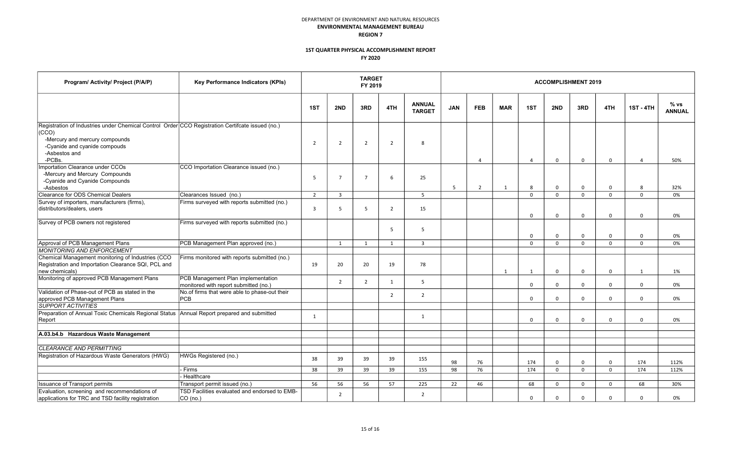| Program/ Activity/ Project (P/A/P)                                                                                                                                                                      | Key Performance Indicators (KPIs)                                           |                |                | <b>TARGET</b><br>FY 2019 |                |                                | <b>ACCOMPLISHMENT 2019</b> |                |                |                |              |              |             |                  |                       |  |  |
|---------------------------------------------------------------------------------------------------------------------------------------------------------------------------------------------------------|-----------------------------------------------------------------------------|----------------|----------------|--------------------------|----------------|--------------------------------|----------------------------|----------------|----------------|----------------|--------------|--------------|-------------|------------------|-----------------------|--|--|
|                                                                                                                                                                                                         |                                                                             | 1ST            | 2ND            | 3RD                      | 4TH            | <b>ANNUAL</b><br><b>TARGET</b> | <b>JAN</b>                 | <b>FEB</b>     | <b>MAR</b>     | 1ST            | 2ND          | 3RD          | 4TH         | <b>1ST - 4TH</b> | % vs<br><b>ANNUAL</b> |  |  |
| Registration of Industries under Chemical Control Order CCO Registration Certifcate issued (no.)<br>(CCO)<br>-Mercury and mercury compounds<br>-Cyanide and cyanide compouds<br>-Asbestos and<br>-PCBs. |                                                                             | $\overline{2}$ | $\overline{2}$ | $\overline{2}$           | $\overline{2}$ | $\mathbf{g}$                   |                            | $\Delta$       |                | $\overline{4}$ | $\Omega$     | $\mathbf 0$  | $\Omega$    | $\Delta$         | 50%                   |  |  |
| Importation Clearance under CCOs<br>-Mercury and Mercury Compounds<br>-Cyanide and Cyanide Compounds<br>-Asbestos                                                                                       | CCO Importation Clearance issued (no.)                                      | 5              | $\overline{7}$ | $\overline{7}$           | 6              | 25                             | 5                          | $\overline{2}$ | $\overline{1}$ | 8              | $\Omega$     | $\mathbf 0$  | $\mathbf 0$ | 8                | 32%                   |  |  |
| Clearance for ODS Chemical Dealers                                                                                                                                                                      | Clearances Issued (no.)                                                     | $\overline{2}$ | $\overline{3}$ |                          |                | $\overline{5}$                 |                            |                |                | $\Omega$       | $\Omega$     | $\Omega$     | $\Omega$    | $\Omega$         | 0%                    |  |  |
| Survey of importers, manufacturers (firms),<br>distributors/dealers, users                                                                                                                              | Firms surveyed with reports submitted (no.)                                 | 3              | 5              | 5                        | $\overline{2}$ | 15                             |                            |                |                | $\mathbf 0$    | $\mathbf 0$  | $\mathbf 0$  | $\mathbf 0$ | $\mathbf 0$      | 0%                    |  |  |
| Survey of PCB owners not registered                                                                                                                                                                     | Firms surveyed with reports submitted (no.)                                 |                |                |                          | 5              | -5                             |                            |                |                | $\mathbf 0$    | $\Omega$     | $\mathbf 0$  | $\mathbf 0$ | $\mathbf 0$      | 0%                    |  |  |
| Approval of PCB Management Plans                                                                                                                                                                        | PCB Management Plan approved (no.)                                          |                | $\overline{1}$ | $\overline{1}$           | 1              | $\overline{3}$                 |                            |                |                | $\Omega$       | $\Omega$     | $\Omega$     | $\Omega$    | $\Omega$         | 0%                    |  |  |
| <b>MONITORING AND ENFORCEMENT</b>                                                                                                                                                                       |                                                                             |                |                |                          |                |                                |                            |                |                |                |              |              |             |                  |                       |  |  |
| Chemical Management monitoring of Industries (CCO<br>Registration and Importation Clearance SQI, PCL and<br>new chemicals)                                                                              | Firms monitored with reports submitted (no.)                                | 19             | 20             | 20                       | 19             | 78                             |                            |                | 1              | 1              | $\mathbf 0$  | 0            | $\mathbf 0$ | 1                | 1%                    |  |  |
| Monitoring of approved PCB Management Plans                                                                                                                                                             | PCB Management Plan implementation<br>monitored with report submitted (no.) |                | 2              | $\overline{2}$           | 1              | 5                              |                            |                |                | $\mathbf 0$    | $\mathbf 0$  | $\mathbf 0$  | 0           | $\mathbf 0$      | 0%                    |  |  |
| Validation of Phase-out of PCB as stated in the<br>approved PCB Management Plans                                                                                                                        | No.of firms that were able to phase-out their<br><b>PCB</b>                 |                |                |                          | $\overline{2}$ | $\overline{2}$                 |                            |                |                | $\mathbf 0$    | $\mathbf{0}$ | $\mathbf{0}$ | $\mathbf 0$ | $\mathbf 0$      | 0%                    |  |  |
| <b>SUPPORT ACTIVITIES</b><br>Preparation of Annual Toxic Chemicals Regional Status Annual Report prepared and submitted<br>Report                                                                       |                                                                             | 1              |                |                          |                | 1                              |                            |                |                | $\mathbf 0$    | $\mathbf 0$  | $\mathbf 0$  | $\mathbf 0$ | $\mathbf 0$      | 0%                    |  |  |
| A.03.b4.b Hazardous Waste Management                                                                                                                                                                    |                                                                             |                |                |                          |                |                                |                            |                |                |                |              |              |             |                  |                       |  |  |
| CLEARANCE AND PERMITTING                                                                                                                                                                                |                                                                             |                |                |                          |                |                                |                            |                |                |                |              |              |             |                  |                       |  |  |
| Registration of Hazardous Waste Generators (HWG)                                                                                                                                                        | HWGs Registered (no.)                                                       | 38             | 39             | 39                       | 39             | 155                            | 98                         | 76             |                | 174            | $\Omega$     | $\Omega$     | $\Omega$    | 174              | 112%                  |  |  |
|                                                                                                                                                                                                         | Firms                                                                       | 38             | 39             | 39                       | 39             | 155                            | 98                         | 76             |                | 174            | $\Omega$     | $\mathbf 0$  | $\mathbf 0$ | 174              | 112%                  |  |  |
|                                                                                                                                                                                                         | Healthcare                                                                  |                |                |                          |                |                                |                            |                |                |                |              |              |             |                  |                       |  |  |
| <b>Issuance of Transport permits</b>                                                                                                                                                                    | Transport permit issued (no.)                                               | 56             | 56             | 56                       | 57             | 225                            | 22                         | 46             |                | 68             | $\mathbf 0$  | $\mathbf{0}$ | $\Omega$    | 68               | 30%                   |  |  |
| Evaluation, screening and recommendations of<br>applications for TRC and TSD facility registration                                                                                                      | TSD Facilities evaluated and endorsed to EMB-<br>CO (no.)                   |                | $\overline{2}$ |                          |                | $\overline{2}$                 |                            |                |                | $\Omega$       | $\Omega$     | $\mathbf 0$  | $\Omega$    | $\Omega$         | 0%                    |  |  |